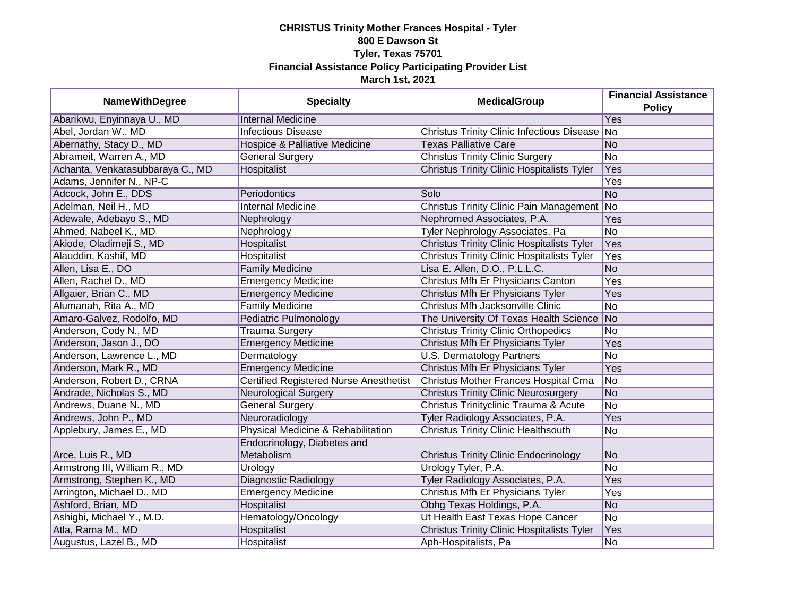| <b>NameWithDegree</b>            | <b>Specialty</b>                              | <b>MedicalGroup</b>                               | <b>Financial Assistance</b><br><b>Policy</b> |
|----------------------------------|-----------------------------------------------|---------------------------------------------------|----------------------------------------------|
| Abarikwu, Enyinnaya U., MD       | <b>Internal Medicine</b>                      |                                                   | Yes                                          |
| Abel, Jordan W., MD              | <b>Infectious Disease</b>                     | Christus Trinity Clinic Infectious Disease No     |                                              |
| Abernathy, Stacy D., MD          | Hospice & Palliative Medicine                 | <b>Texas Palliative Care</b>                      | No                                           |
| Abrameit, Warren A., MD          | <b>General Surgery</b>                        | <b>Christus Trinity Clinic Surgery</b>            | N <sub>o</sub>                               |
| Achanta, Venkatasubbaraya C., MD | Hospitalist                                   | <b>Christus Trinity Clinic Hospitalists Tyler</b> | Yes                                          |
| Adams, Jennifer N., NP-C         |                                               |                                                   | Yes                                          |
| Adcock, John E., DDS             | Periodontics                                  | Solo                                              | N <sub>o</sub>                               |
| Adelman, Neil H., MD             | <b>Internal Medicine</b>                      | <b>Christus Trinity Clinic Pain Management</b>    | No                                           |
| Adewale, Adebayo S., MD          | Nephrology                                    | Nephromed Associates, P.A.                        | Yes                                          |
| Ahmed, Nabeel K., MD             | Nephrology                                    | Tyler Nephrology Associates, Pa                   | No                                           |
| Akiode, Oladimeji S., MD         | Hospitalist                                   | <b>Christus Trinity Clinic Hospitalists Tyler</b> | Yes                                          |
| Alauddin, Kashif, MD             | Hospitalist                                   | <b>Christus Trinity Clinic Hospitalists Tyler</b> | <b>Yes</b>                                   |
| Allen, Lisa E., DO               | <b>Family Medicine</b>                        | Lisa E. Allen, D.O., P.L.L.C.                     | N <sub>o</sub>                               |
| Allen, Rachel D., MD             | <b>Emergency Medicine</b>                     | Christus Mfh Er Physicians Canton                 | Yes                                          |
| Allgaier, Brian C., MD           | <b>Emergency Medicine</b>                     | Christus Mfh Er Physicians Tyler                  | Yes                                          |
| Alumanah, Rita A., MD            | <b>Family Medicine</b>                        | Christus Mfh Jacksonville Clinic                  | No                                           |
| Amaro-Galvez, Rodolfo, MD        | Pediatric Pulmonology                         | The University Of Texas Health Science            | No                                           |
| Anderson, Cody N., MD            | <b>Trauma Surgery</b>                         | <b>Christus Trinity Clinic Orthopedics</b>        | No                                           |
| Anderson, Jason J., DO           | <b>Emergency Medicine</b>                     | Christus Mfh Er Physicians Tyler                  | Yes                                          |
| Anderson, Lawrence L., MD        | Dermatology                                   | <b>U.S. Dermatology Partners</b>                  | <b>No</b>                                    |
| Anderson, Mark R., MD            | <b>Emergency Medicine</b>                     | Christus Mfh Er Physicians Tyler                  | Yes                                          |
| Anderson, Robert D., CRNA        | <b>Certified Registered Nurse Anesthetist</b> | Christus Mother Frances Hospital Crna             | No                                           |
| Andrade, Nicholas S., MD         | <b>Neurological Surgery</b>                   | <b>Christus Trinity Clinic Neurosurgery</b>       | No                                           |
| Andrews, Duane N., MD            | <b>General Surgery</b>                        | Christus Trinityclinic Trauma & Acute             | No                                           |
| Andrews, John P., MD             | Neuroradiology                                | Tyler Radiology Associates, P.A.                  | Yes                                          |
| Applebury, James E., MD          | Physical Medicine & Rehabilitation            | <b>Christus Trinity Clinic Healthsouth</b>        | <b>No</b>                                    |
| Arce, Luis R., MD                | Endocrinology, Diabetes and<br>Metabolism     | <b>Christus Trinity Clinic Endocrinology</b>      | No                                           |
| Armstrong III, William R., MD    | Urology                                       | Urology Tyler, P.A.                               | No                                           |
| Armstrong, Stephen K., MD        | <b>Diagnostic Radiology</b>                   | Tyler Radiology Associates, P.A.                  | Yes                                          |
| Arrington, Michael D., MD        | <b>Emergency Medicine</b>                     | Christus Mfh Er Physicians Tyler                  | Yes                                          |
| Ashford, Brian, MD               | Hospitalist                                   | Obhg Texas Holdings, P.A.                         | No                                           |
| Ashigbi, Michael Y., M.D.        | Hematology/Oncology                           | Ut Health East Texas Hope Cancer                  | No                                           |
| Atla, Rama M., MD                | Hospitalist                                   | <b>Christus Trinity Clinic Hospitalists Tyler</b> | Yes                                          |
| Augustus, Lazel B., MD           | Hospitalist                                   | Aph-Hospitalists, Pa                              | No                                           |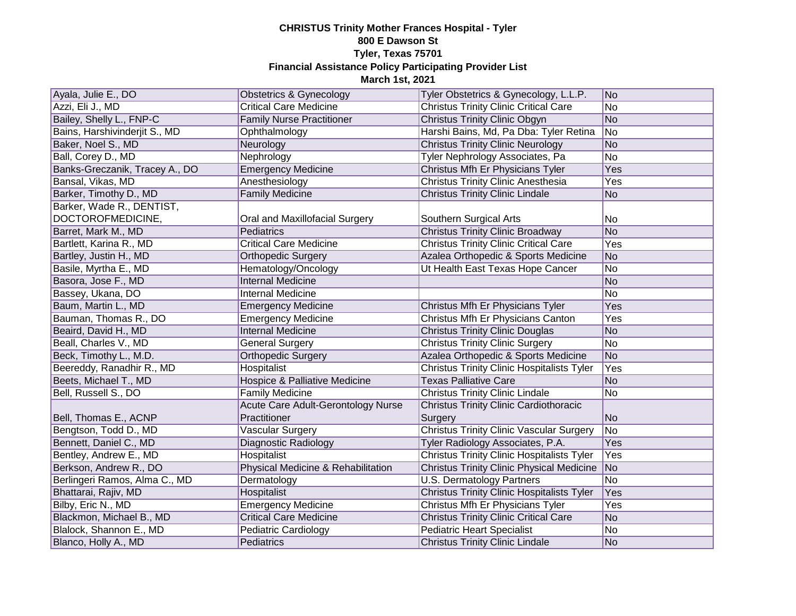| Ayala, Julie E., DO            | <b>Obstetrics &amp; Gynecology</b>       | Tyler Obstetrics & Gynecology, L.L.P.             | No             |
|--------------------------------|------------------------------------------|---------------------------------------------------|----------------|
| Azzi, Eli J., MD               | <b>Critical Care Medicine</b>            | <b>Christus Trinity Clinic Critical Care</b>      | No             |
| Bailey, Shelly L., FNP-C       | <b>Family Nurse Practitioner</b>         | <b>Christus Trinity Clinic Obgyn</b>              | No             |
| Bains, Harshivinderjit S., MD  | Ophthalmology                            | Harshi Bains, Md, Pa Dba: Tyler Retina            | No             |
| Baker, Noel S., MD             | Neurology                                | <b>Christus Trinity Clinic Neurology</b>          | No             |
| Ball, Corey D., MD             | Nephrology                               | Tyler Nephrology Associates, Pa                   | No             |
| Banks-Greczanik, Tracey A., DO | <b>Emergency Medicine</b>                | Christus Mfh Er Physicians Tyler                  | Yes            |
| Bansal, Vikas, MD              | Anesthesiology                           | Christus Trinity Clinic Anesthesia                | Yes            |
| Barker, Timothy D., MD         | <b>Family Medicine</b>                   | <b>Christus Trinity Clinic Lindale</b>            | N <sub>o</sub> |
| Barker, Wade R., DENTIST,      |                                          |                                                   |                |
| DOCTOROFMEDICINE,              | Oral and Maxillofacial Surgery           | Southern Surgical Arts                            | No             |
| Barret, Mark M., MD            | Pediatrics                               | <b>Christus Trinity Clinic Broadway</b>           | No             |
| Bartlett, Karina R., MD        | <b>Critical Care Medicine</b>            | <b>Christus Trinity Clinic Critical Care</b>      | Yes            |
| Bartley, Justin H., MD         | <b>Orthopedic Surgery</b>                | Azalea Orthopedic & Sports Medicine               | No             |
| Basile, Myrtha E., MD          | Hematology/Oncology                      | Ut Health East Texas Hope Cancer                  | No             |
| Basora, Jose F., MD            | <b>Internal Medicine</b>                 |                                                   | No             |
| Bassey, Ukana, DO              | <b>Internal Medicine</b>                 |                                                   | No             |
| Baum, Martin L., MD            | <b>Emergency Medicine</b>                | Christus Mfh Er Physicians Tyler                  | Yes            |
| Bauman, Thomas R., DO          | Emergency Medicine                       | Christus Mfh Er Physicians Canton                 | Yes            |
| Beaird, David H., MD           | <b>Internal Medicine</b>                 | <b>Christus Trinity Clinic Douglas</b>            | No             |
| Beall, Charles V., MD          | <b>General Surgery</b>                   | <b>Christus Trinity Clinic Surgery</b>            | No             |
| Beck, Timothy L., M.D.         | <b>Orthopedic Surgery</b>                | Azalea Orthopedic & Sports Medicine               | No             |
| Beereddy, Ranadhir R., MD      | Hospitalist                              | <b>Christus Trinity Clinic Hospitalists Tyler</b> | Yes            |
| Beets, Michael T., MD          | <b>Hospice &amp; Palliative Medicine</b> | <b>Texas Palliative Care</b>                      | N <sub>o</sub> |
| Bell, Russell S., DO           | <b>Family Medicine</b>                   | <b>Christus Trinity Clinic Lindale</b>            | No             |
|                                | Acute Care Adult-Gerontology Nurse       | <b>Christus Trinity Clinic Cardiothoracic</b>     |                |
| Bell, Thomas E., ACNP          | Practitioner                             | Surgery                                           | N <sub>o</sub> |
| Bengtson, Todd D., MD          | <b>Vascular Surgery</b>                  | <b>Christus Trinity Clinic Vascular Surgery</b>   | No             |
| Bennett, Daniel C., MD         | Diagnostic Radiology                     | Tyler Radiology Associates, P.A.                  | Yes            |
| Bentley, Andrew E., MD         | Hospitalist                              | <b>Christus Trinity Clinic Hospitalists Tyler</b> | Yes            |
| Berkson, Andrew R., DO         | Physical Medicine & Rehabilitation       | <b>Christus Trinity Clinic Physical Medicine</b>  | No             |
| Berlingeri Ramos, Alma C., MD  | Dermatology                              | <b>U.S. Dermatology Partners</b>                  | No             |
| Bhattarai, Rajiv, MD           | Hospitalist                              | <b>Christus Trinity Clinic Hospitalists Tyler</b> | Yes            |
| Bilby, Eric N., MD             | <b>Emergency Medicine</b>                | Christus Mfh Er Physicians Tyler                  | Yes            |
| Blackmon, Michael B., MD       | <b>Critical Care Medicine</b>            | <b>Christus Trinity Clinic Critical Care</b>      | No             |
| Blalock, Shannon E., MD        | <b>Pediatric Cardiology</b>              | <b>Pediatric Heart Specialist</b>                 | No             |
| Blanco, Holly A., MD           | Pediatrics                               | <b>Christus Trinity Clinic Lindale</b>            | No             |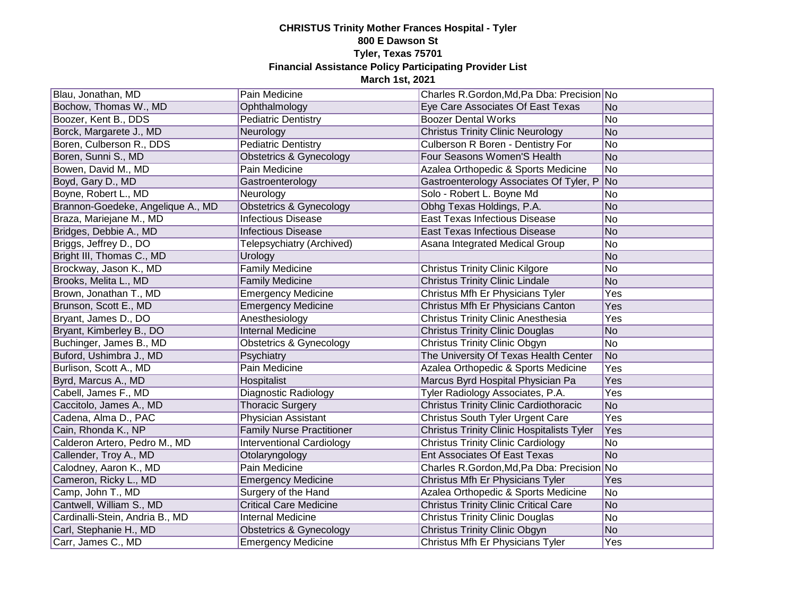| Blau, Jonathan, MD                | Pain Medicine                      | Charles R.Gordon, Md, Pa Dba: Precision No        |            |
|-----------------------------------|------------------------------------|---------------------------------------------------|------------|
| Bochow, Thomas W., MD             | Ophthalmology                      | Eye Care Associates Of East Texas                 | No         |
| Boozer, Kent B., DDS              | <b>Pediatric Dentistry</b>         | <b>Boozer Dental Works</b>                        | No         |
| Borck, Margarete J., MD           | Neurology                          | <b>Christus Trinity Clinic Neurology</b>          | No         |
| Boren, Culberson R., DDS          | <b>Pediatric Dentistry</b>         | Culberson R Boren - Dentistry For                 | No         |
| Boren, Sunni S., MD               | Obstetrics & Gynecology            | Four Seasons Women'S Health                       | No         |
| Bowen, David M., MD               | Pain Medicine                      | Azalea Orthopedic & Sports Medicine               | No         |
| Boyd, Gary D., MD                 | Gastroenterology                   | Gastroenterology Associates Of Tyler, P No        |            |
| Boyne, Robert L., MD              | Neurology                          | Solo - Robert L. Boyne Md                         | No         |
| Brannon-Goedeke, Angelique A., MD | <b>Obstetrics &amp; Gynecology</b> | Obhg Texas Holdings, P.A.                         | No         |
| Braza, Mariejane M., MD           | <b>Infectious Disease</b>          | <b>East Texas Infectious Disease</b>              | No         |
| Bridges, Debbie A., MD            | <b>Infectious Disease</b>          | East Texas Infectious Disease                     | No         |
| Briggs, Jeffrey D., DO            | Telepsychiatry (Archived)          | Asana Integrated Medical Group                    | No         |
| Bright III, Thomas C., MD         | Urology                            |                                                   | No         |
| Brockway, Jason K., MD            | <b>Family Medicine</b>             | <b>Christus Trinity Clinic Kilgore</b>            | No         |
| Brooks, Melita L., MD             | <b>Family Medicine</b>             | <b>Christus Trinity Clinic Lindale</b>            | No         |
| Brown, Jonathan T., MD            | <b>Emergency Medicine</b>          | Christus Mfh Er Physicians Tyler                  | Yes        |
| Brunson, Scott E., MD             | <b>Emergency Medicine</b>          | Christus Mfh Er Physicians Canton                 | Yes        |
| Bryant, James D., DO              | Anesthesiology                     | Christus Trinity Clinic Anesthesia                | Yes        |
| Bryant, Kimberley B., DO          | Internal Medicine                  | <b>Christus Trinity Clinic Douglas</b>            | No         |
| Buchinger, James B., MD           | <b>Obstetrics &amp; Gynecology</b> | <b>Christus Trinity Clinic Obgyn</b>              | No         |
| Buford, Ushimbra J., MD           | Psychiatry                         | The University Of Texas Health Center             | No         |
| Burlison, Scott A., MD            | Pain Medicine                      | Azalea Orthopedic & Sports Medicine               | Yes        |
| Byrd, Marcus A., MD               | Hospitalist                        | Marcus Byrd Hospital Physician Pa                 | Yes        |
| Cabell, James F., MD              | Diagnostic Radiology               | Tyler Radiology Associates, P.A.                  | Yes        |
| Caccitolo, James A., MD           | <b>Thoracic Surgery</b>            | <b>Christus Trinity Clinic Cardiothoracic</b>     | No         |
| Cadena, Alma D., PAC              | Physician Assistant                | Christus South Tyler Urgent Care                  | Yes        |
| Cain, Rhonda K., NP               | <b>Family Nurse Practitioner</b>   | <b>Christus Trinity Clinic Hospitalists Tyler</b> | Yes        |
| Calderon Artero, Pedro M., MD     | <b>Interventional Cardiology</b>   | <b>Christus Trinity Clinic Cardiology</b>         | No         |
| Callender, Troy A., MD            | Otolaryngology                     | <b>Ent Associates Of East Texas</b>               | No         |
| Calodney, Aaron K., MD            | Pain Medicine                      | Charles R.Gordon, Md, Pa Dba: Precision No        |            |
| Cameron, Ricky L., MD             | <b>Emergency Medicine</b>          | Christus Mfh Er Physicians Tyler                  | Yes        |
| Camp, John T., MD                 | Surgery of the Hand                | Azalea Orthopedic & Sports Medicine               | No         |
| Cantwell, William S., MD          | <b>Critical Care Medicine</b>      | <b>Christus Trinity Clinic Critical Care</b>      | No         |
| Cardinalli-Stein, Andria B., MD   | <b>Internal Medicine</b>           | <b>Christus Trinity Clinic Douglas</b>            | No         |
| Carl, Stephanie H., MD            | Obstetrics & Gynecology            | <b>Christus Trinity Clinic Obgyn</b>              | No         |
| Carr, James C., MD                | <b>Emergency Medicine</b>          | Christus Mfh Er Physicians Tyler                  | <b>Yes</b> |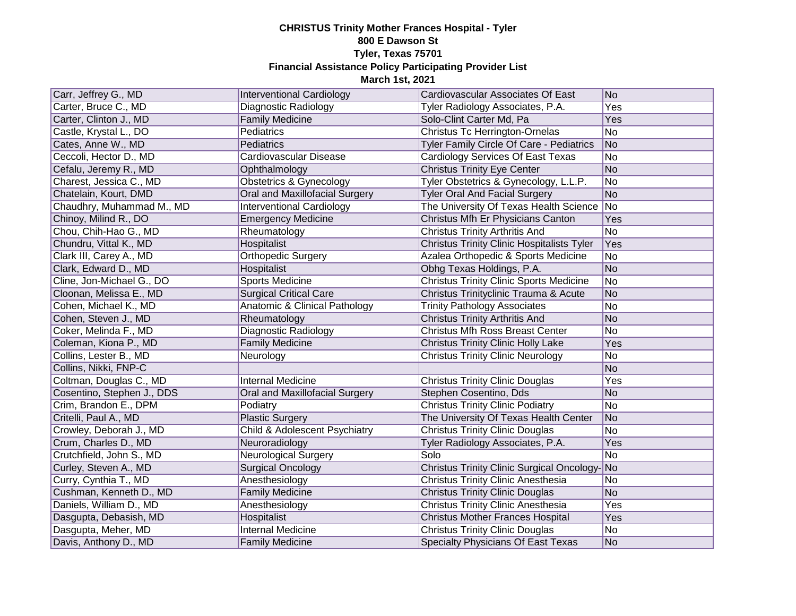| Carr, Jeffrey G., MD       | <b>Interventional Cardiology</b>   | Cardiovascular Associates Of East                 | No         |
|----------------------------|------------------------------------|---------------------------------------------------|------------|
| Carter, Bruce C., MD       | Diagnostic Radiology               | Tyler Radiology Associates, P.A.                  | Yes        |
| Carter, Clinton J., MD     | <b>Family Medicine</b>             | Solo-Clint Carter Md, Pa                          | <b>Yes</b> |
| Castle, Krystal L., DO     | Pediatrics                         | Christus Tc Herrington-Ornelas                    | No         |
| Cates, Anne W., MD         | Pediatrics                         | Tyler Family Circle Of Care - Pediatrics          | No         |
| Ceccoli, Hector D., MD     | Cardiovascular Disease             | Cardiology Services Of East Texas                 | No         |
| Cefalu, Jeremy R., MD      | Ophthalmology                      | <b>Christus Trinity Eye Center</b>                | No         |
| Charest, Jessica C., MD    | <b>Obstetrics &amp; Gynecology</b> | Tyler Obstetrics & Gynecology, L.L.P.             | No         |
| Chatelain, Kourt, DMD      | Oral and Maxillofacial Surgery     | <b>Tyler Oral And Facial Surgery</b>              | No         |
| Chaudhry, Muhammad M., MD  | Interventional Cardiology          | The University Of Texas Health Science            | No         |
| Chinoy, Milind R., DO      | <b>Emergency Medicine</b>          | Christus Mfh Er Physicians Canton                 | Yes        |
| Chou, Chih-Hao G., MD      | Rheumatology                       | <b>Christus Trinity Arthritis And</b>             | <b>No</b>  |
| Chundru, Vittal K., MD     | Hospitalist                        | <b>Christus Trinity Clinic Hospitalists Tyler</b> | Yes        |
| Clark III, Carey A., MD    | <b>Orthopedic Surgery</b>          | Azalea Orthopedic & Sports Medicine               | No         |
| Clark, Edward D., MD       | Hospitalist                        | Obhg Texas Holdings, P.A.                         | No         |
| Cline, Jon-Michael G., DO  | <b>Sports Medicine</b>             | <b>Christus Trinity Clinic Sports Medicine</b>    | No         |
| Cloonan, Melissa E., MD    | <b>Surgical Critical Care</b>      | Christus Trinityclinic Trauma & Acute             | No         |
| Cohen, Michael K., MD      | Anatomic & Clinical Pathology      | <b>Trinity Pathology Associates</b>               | No         |
| Cohen, Steven J., MD       | Rheumatology                       | <b>Christus Trinity Arthritis And</b>             | No         |
| Coker, Melinda F., MD      | Diagnostic Radiology               | <b>Christus Mfh Ross Breast Center</b>            | No         |
| Coleman, Kiona P., MD      | <b>Family Medicine</b>             | <b>Christus Trinity Clinic Holly Lake</b>         | Yes        |
| Collins, Lester B., MD     | Neurology                          | <b>Christus Trinity Clinic Neurology</b>          | No         |
| Collins, Nikki, FNP-C      |                                    |                                                   | No         |
| Coltman, Douglas C., MD    | Internal Medicine                  | <b>Christus Trinity Clinic Douglas</b>            | Yes        |
| Cosentino, Stephen J., DDS | Oral and Maxillofacial Surgery     | Stephen Cosentino, Dds                            | No         |
| Crim, Brandon E., DPM      | Podiatry                           | <b>Christus Trinity Clinic Podiatry</b>           | No         |
| Critelli, Paul A., MD      | <b>Plastic Surgery</b>             | The University Of Texas Health Center             | No         |
| Crowley, Deborah J., MD    | Child & Adolescent Psychiatry      | <b>Christus Trinity Clinic Douglas</b>            | No         |
| Crum, Charles D., MD       | Neuroradiology                     | Tyler Radiology Associates, P.A.                  | Yes        |
| Crutchfield, John S., MD   | <b>Neurological Surgery</b>        | Solo                                              | No         |
| Curley, Steven A., MD      | <b>Surgical Oncology</b>           | Christus Trinity Clinic Surgical Oncology-No      |            |
| Curry, Cynthia T., MD      | Anesthesiology                     | Christus Trinity Clinic Anesthesia                | No         |
| Cushman, Kenneth D., MD    | <b>Family Medicine</b>             | <b>Christus Trinity Clinic Douglas</b>            | No         |
| Daniels, William D., MD    | Anesthesiology                     | Christus Trinity Clinic Anesthesia                | Yes        |
| Dasgupta, Debasish, MD     | Hospitalist                        | <b>Christus Mother Frances Hospital</b>           | Yes        |
| Dasgupta, Meher, MD        | <b>Internal Medicine</b>           | <b>Christus Trinity Clinic Douglas</b>            | No         |
| Davis, Anthony D., MD      | <b>Family Medicine</b>             | Specialty Physicians Of East Texas                | No         |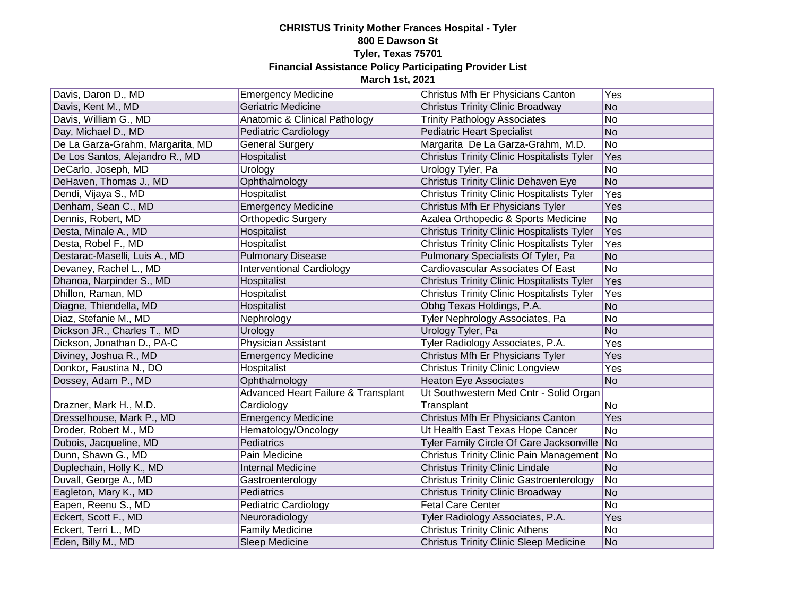| Davis, Daron D., MD              | <b>Emergency Medicine</b>           | Christus Mfh Er Physicians Canton                 | Yes             |
|----------------------------------|-------------------------------------|---------------------------------------------------|-----------------|
| Davis, Kent M., MD               | <b>Geriatric Medicine</b>           | <b>Christus Trinity Clinic Broadway</b>           | No              |
| Davis, William G., MD            | Anatomic & Clinical Pathology       | <b>Trinity Pathology Associates</b>               | No              |
| Day, Michael D., MD              | Pediatric Cardiology                | <b>Pediatric Heart Specialist</b>                 | No              |
| De La Garza-Grahm, Margarita, MD | <b>General Surgery</b>              | Margarita De La Garza-Grahm, M.D.                 | $\overline{No}$ |
| De Los Santos, Alejandro R., MD  | Hospitalist                         | <b>Christus Trinity Clinic Hospitalists Tyler</b> | Yes             |
| DeCarlo, Joseph, MD              | Urology                             | Urology Tyler, Pa                                 | No              |
| DeHaven, Thomas J., MD           | Ophthalmology                       | Christus Trinity Clinic Dehaven Eye               | No              |
| Dendi, Vijaya S., MD             | <b>Hospitalist</b>                  | <b>Christus Trinity Clinic Hospitalists Tyler</b> | Yes             |
| Denham, Sean C., MD              | <b>Emergency Medicine</b>           | Christus Mfh Er Physicians Tyler                  | Yes             |
| Dennis, Robert, MD               | <b>Orthopedic Surgery</b>           | Azalea Orthopedic & Sports Medicine               | No              |
| Desta, Minale A., MD             | Hospitalist                         | <b>Christus Trinity Clinic Hospitalists Tyler</b> | Yes             |
| Desta, Robel F., MD              | Hospitalist                         | <b>Christus Trinity Clinic Hospitalists Tyler</b> | Yes             |
| Destarac-Maselli, Luis A., MD    | <b>Pulmonary Disease</b>            | Pulmonary Specialists Of Tyler, Pa                | No              |
| Devaney, Rachel L., MD           | <b>Interventional Cardiology</b>    | Cardiovascular Associates Of East                 | No              |
| Dhanoa, Narpinder S., MD         | Hospitalist                         | <b>Christus Trinity Clinic Hospitalists Tyler</b> | Yes             |
| Dhillon, Raman, MD               | <b>Hospitalist</b>                  | <b>Christus Trinity Clinic Hospitalists Tyler</b> | Yes             |
| Diagne, Thiendella, MD           | Hospitalist                         | Obhg Texas Holdings, P.A.                         | No              |
| Diaz, Stefanie M., MD            | Nephrology                          | Tyler Nephrology Associates, Pa                   | No              |
| Dickson JR., Charles T., MD      | Urology                             | Urology Tyler, Pa                                 | No              |
| Dickson, Jonathan D., PA-C       | <b>Physician Assistant</b>          | Tyler Radiology Associates, P.A.                  | Yes             |
| Diviney, Joshua R., MD           | <b>Emergency Medicine</b>           | Christus Mfh Er Physicians Tyler                  | Yes             |
| Donkor, Faustina N., DO          | <b>Hospitalist</b>                  | <b>Christus Trinity Clinic Longview</b>           | Yes             |
| Dossey, Adam P., MD              | Ophthalmology                       | <b>Heaton Eye Associates</b>                      | No              |
|                                  | Advanced Heart Failure & Transplant | Ut Southwestern Med Cntr - Solid Organ            |                 |
| Drazner, Mark H., M.D.           | Cardiology                          | Transplant                                        | No.             |
| Dresselhouse, Mark P., MD        | <b>Emergency Medicine</b>           | Christus Mfh Er Physicians Canton                 | Yes             |
| Droder, Robert M., MD            | Hematology/Oncology                 | Ut Health East Texas Hope Cancer                  | No              |
| Dubois, Jacqueline, MD           | Pediatrics                          | Tyler Family Circle Of Care Jacksonville No       |                 |
| Dunn, Shawn G., MD               | Pain Medicine                       | Christus Trinity Clinic Pain Management No        |                 |
| Duplechain, Holly K., MD         | <b>Internal Medicine</b>            | <b>Christus Trinity Clinic Lindale</b>            | No              |
| Duvall, George A., MD            | Gastroenterology                    | <b>Christus Trinity Clinic Gastroenterology</b>   | No              |
| Eagleton, Mary K., MD            | Pediatrics                          | <b>Christus Trinity Clinic Broadway</b>           | No              |
| Eapen, Reenu S., MD              | Pediatric Cardiology                | <b>Fetal Care Center</b>                          | No              |
| Eckert, Scott F., MD             | Neuroradiology                      | Tyler Radiology Associates, P.A.                  | Yes             |
| Eckert, Terri L., MD             | <b>Family Medicine</b>              | <b>Christus Trinity Clinic Athens</b>             | No              |
| Eden, Billy M., MD               | Sleep Medicine                      | <b>Christus Trinity Clinic Sleep Medicine</b>     | No              |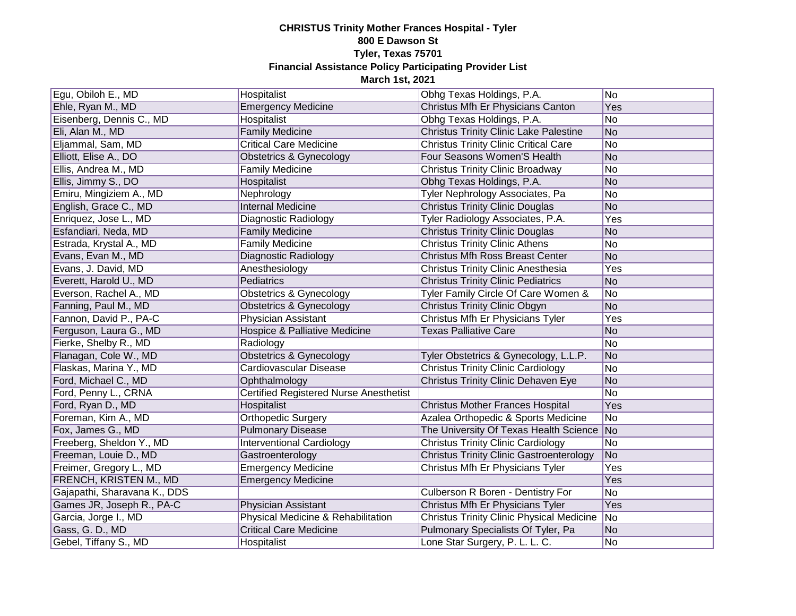| Egu, Obiloh E., MD            | Hospitalist                                   | Obhg Texas Holdings, P.A.                        | N <sub>o</sub>              |
|-------------------------------|-----------------------------------------------|--------------------------------------------------|-----------------------------|
| Ehle, Ryan M., MD             | <b>Emergency Medicine</b>                     | Christus Mfh Er Physicians Canton                | Yes                         |
| Eisenberg, Dennis C., MD      | <b>Hospitalist</b>                            | Obhg Texas Holdings, P.A.                        | No                          |
| Eli, Alan M., MD              | <b>Family Medicine</b>                        | <b>Christus Trinity Clinic Lake Palestine</b>    | No                          |
| Eljammal, Sam, MD             | <b>Critical Care Medicine</b>                 | <b>Christus Trinity Clinic Critical Care</b>     | No                          |
| Elliott, Elise A., DO         | Obstetrics & Gynecology                       | Four Seasons Women'S Health                      | No                          |
| Ellis, Andrea M., MD          | <b>Family Medicine</b>                        | <b>Christus Trinity Clinic Broadway</b>          | No                          |
| Ellis, Jimmy S., DO           | Hospitalist                                   | Obhg Texas Holdings, P.A.                        | No                          |
| Emiru, Mingiziem A., MD       | Nephrology                                    | Tyler Nephrology Associates, Pa                  | No                          |
| English, Grace C., MD         | <b>Internal Medicine</b>                      | <b>Christus Trinity Clinic Douglas</b>           | No                          |
| Enriquez, Jose L., MD         | Diagnostic Radiology                          | Tyler Radiology Associates, P.A.                 | Yes                         |
| Esfandiari, Neda, MD          | <b>Family Medicine</b>                        | <b>Christus Trinity Clinic Douglas</b>           | No                          |
| Estrada, Krystal A., MD       | <b>Family Medicine</b>                        | <b>Christus Trinity Clinic Athens</b>            | No                          |
| Evans, Evan M., MD            | Diagnostic Radiology                          | <b>Christus Mfh Ross Breast Center</b>           | No                          |
| Evans, J. David, MD           | Anesthesiology                                | Christus Trinity Clinic Anesthesia               | Yes                         |
| Everett, Harold U., MD        | Pediatrics                                    | <b>Christus Trinity Clinic Pediatrics</b>        | No                          |
| Everson, Rachel A., MD        | Obstetrics & Gynecology                       | Tyler Family Circle Of Care Women &              | No                          |
| Fanning, Paul M., MD          | Obstetrics & Gynecology                       | <b>Christus Trinity Clinic Obgyn</b>             | No                          |
| Fannon, David P., PA-C        | Physician Assistant                           | Christus Mfh Er Physicians Tyler                 | Yes                         |
| Ferguson, Laura G., MD        | Hospice & Palliative Medicine                 | <b>Texas Palliative Care</b>                     | No                          |
| Fierke, Shelby R., MD         | Radiology                                     |                                                  | No                          |
| Flanagan, Cole W., MD         | <b>Obstetrics &amp; Gynecology</b>            | Tyler Obstetrics & Gynecology, L.L.P.            | No                          |
| Flaskas, Marina Y., MD        | Cardiovascular Disease                        | <b>Christus Trinity Clinic Cardiology</b>        | No                          |
| Ford, Michael C., MD          | Ophthalmology                                 | <b>Christus Trinity Clinic Dehaven Eye</b>       | No                          |
| Ford, Penny L., CRNA          | <b>Certified Registered Nurse Anesthetist</b> |                                                  | No                          |
| Ford, Ryan D., MD             | Hospitalist                                   | <b>Christus Mother Frances Hospital</b>          | Yes                         |
| Foreman, Kim A., MD           | Orthopedic Surgery                            | Azalea Orthopedic & Sports Medicine              | No                          |
| Fox, James G., MD             | <b>Pulmonary Disease</b>                      | The University Of Texas Health Science No        |                             |
| Freeberg, Sheldon Y., MD      | <b>Interventional Cardiology</b>              | <b>Christus Trinity Clinic Cardiology</b>        | No                          |
| Freeman, Louie D., MD         | Gastroenterology                              | <b>Christus Trinity Clinic Gastroenterology</b>  | No                          |
| Freimer, Gregory L., MD       | <b>Emergency Medicine</b>                     | Christus Mfh Er Physicians Tyler                 | Yes                         |
| <b>FRENCH, KRISTEN M., MD</b> | <b>Emergency Medicine</b>                     |                                                  | Yes                         |
| Gajapathi, Sharavana K., DDS  |                                               | Culberson R Boren - Dentistry For                | No                          |
| Games JR, Joseph R., PA-C     | Physician Assistant                           | Christus Mfh Er Physicians Tyler                 | <b>Yes</b>                  |
| Garcia, Jorge I., MD          | Physical Medicine & Rehabilitation            | <b>Christus Trinity Clinic Physical Medicine</b> | $\overline{\phantom{a}}$ No |
| Gass, G. D., MD               | <b>Critical Care Medicine</b>                 | Pulmonary Specialists Of Tyler, Pa               | No                          |
| Gebel, Tiffany S., MD         | Hospitalist                                   | Lone Star Surgery, P. L. L. C.                   | No                          |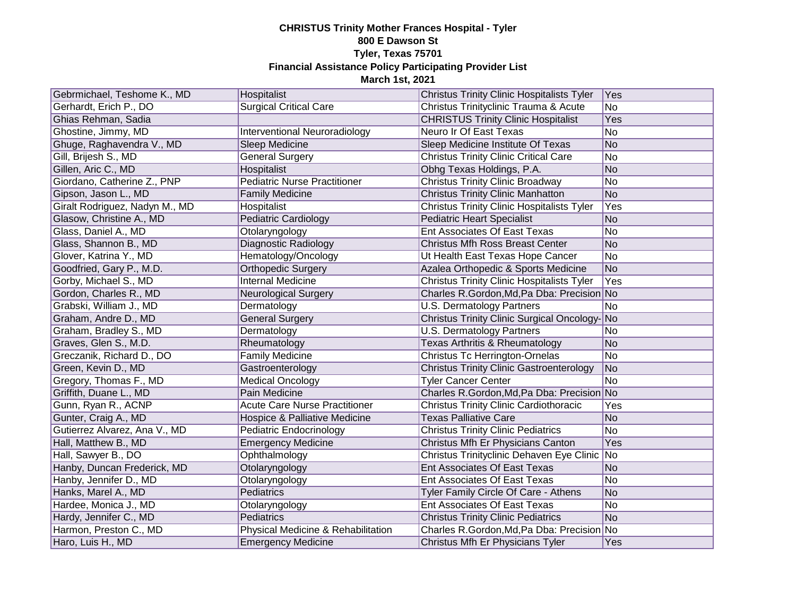| Gebrmichael, Teshome K., MD    | Hospitalist                          | <b>Christus Trinity Clinic Hospitalists Tyler</b> | Yes             |
|--------------------------------|--------------------------------------|---------------------------------------------------|-----------------|
| Gerhardt, Erich P., DO         | Surgical Critical Care               | Christus Trinityclinic Trauma & Acute             | No              |
| Ghias Rehman, Sadia            |                                      | <b>CHRISTUS Trinity Clinic Hospitalist</b>        | Yes             |
| Ghostine, Jimmy, MD            | <b>Interventional Neuroradiology</b> | Neuro Ir Of East Texas                            | $\overline{No}$ |
| Ghuge, Raghavendra V., MD      | Sleep Medicine                       | Sleep Medicine Institute Of Texas                 | No              |
| Gill, Brijesh S., MD           | <b>General Surgery</b>               | <b>Christus Trinity Clinic Critical Care</b>      | No              |
| Gillen, Aric C., MD            | Hospitalist                          | Obhg Texas Holdings, P.A.                         | No              |
| Giordano, Catherine Z., PNP    | <b>Pediatric Nurse Practitioner</b>  | <b>Christus Trinity Clinic Broadway</b>           | No              |
| Gipson, Jason L., MD           | <b>Family Medicine</b>               | <b>Christus Trinity Clinic Manhatton</b>          | No              |
| Giralt Rodriguez, Nadyn M., MD | Hospitalist                          | <b>Christus Trinity Clinic Hospitalists Tyler</b> | Yes             |
| Glasow, Christine A., MD       | <b>Pediatric Cardiology</b>          | <b>Pediatric Heart Specialist</b>                 | No              |
| Glass, Daniel A., MD           | Otolaryngology                       | Ent Associates Of East Texas                      | No              |
| Glass, Shannon B., MD          | Diagnostic Radiology                 | <b>Christus Mfh Ross Breast Center</b>            | No              |
| Glover, Katrina Y., MD         | Hematology/Oncology                  | Ut Health East Texas Hope Cancer                  | No              |
| Goodfried, Gary P., M.D.       | <b>Orthopedic Surgery</b>            | Azalea Orthopedic & Sports Medicine               | No              |
| Gorby, Michael S., MD          | <b>Internal Medicine</b>             | <b>Christus Trinity Clinic Hospitalists Tyler</b> | Yes             |
| Gordon, Charles R., MD         | <b>Neurological Surgery</b>          | Charles R.Gordon, Md, Pa Dba: Precision No        |                 |
| Grabski, William J., MD        | Dermatology                          | <b>U.S. Dermatology Partners</b>                  | No              |
| Graham, Andre D., MD           | <b>General Surgery</b>               | Christus Trinity Clinic Surgical Oncology-No      |                 |
| Graham, Bradley S., MD         | Dermatology                          | <b>U.S. Dermatology Partners</b>                  | No              |
| Graves, Glen S., M.D.          | Rheumatology                         | Texas Arthritis & Rheumatology                    | No              |
| Greczanik, Richard D., DO      | <b>Family Medicine</b>               | <b>Christus Tc Herrington-Ornelas</b>             | No              |
| Green, Kevin D., MD            | Gastroenterology                     | <b>Christus Trinity Clinic Gastroenterology</b>   | No              |
| Gregory, Thomas F., MD         | <b>Medical Oncology</b>              | <b>Tyler Cancer Center</b>                        | No              |
| Griffith, Duane L., MD         | Pain Medicine                        | Charles R.Gordon, Md, Pa Dba: Precision No        |                 |
| Gunn, Ryan R., ACNP            | <b>Acute Care Nurse Practitioner</b> | <b>Christus Trinity Clinic Cardiothoracic</b>     | Yes             |
| Gunter, Craig A., MD           | Hospice & Palliative Medicine        | <b>Texas Palliative Care</b>                      | No              |
| Gutierrez Alvarez, Ana V., MD  | Pediatric Endocrinology              | <b>Christus Trinity Clinic Pediatrics</b>         | No              |
| Hall, Matthew B., MD           | <b>Emergency Medicine</b>            | Christus Mfh Er Physicians Canton                 | Yes             |
| Hall, Sawyer B., DO            | Ophthalmology                        | Christus Trinityclinic Dehaven Eye Clinic   No    |                 |
| Hanby, Duncan Frederick, MD    | Otolaryngology                       | Ent Associates Of East Texas                      | No              |
| Hanby, Jennifer D., MD         | Otolaryngology                       | Ent Associates Of East Texas                      | No              |
| Hanks, Marel A., MD            | Pediatrics                           | Tyler Family Circle Of Care - Athens              | No              |
| Hardee, Monica J., MD          | Otolaryngology                       | Ent Associates Of East Texas                      | No              |
| Hardy, Jennifer C., MD         | Pediatrics                           | <b>Christus Trinity Clinic Pediatrics</b>         | No              |
| Harmon, Preston C., MD         | Physical Medicine & Rehabilitation   | Charles R.Gordon, Md, Pa Dba: Precision No        |                 |
| Haro, Luis H., MD              | <b>Emergency Medicine</b>            | Christus Mfh Er Physicians Tyler                  | Yes             |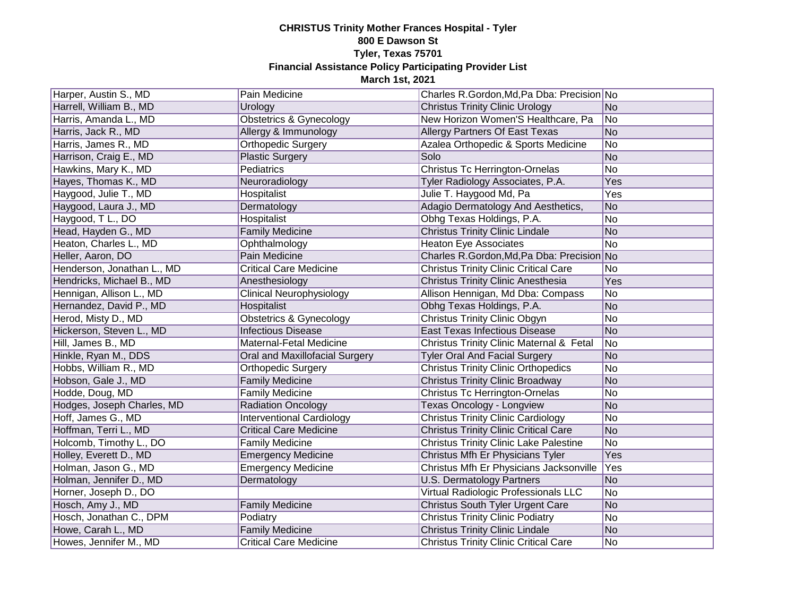| Harper, Austin S., MD      | Pain Medicine                      | Charles R.Gordon, Md, Pa Dba: Precision No    |            |
|----------------------------|------------------------------------|-----------------------------------------------|------------|
| Harrell, William B., MD    | Urology                            | <b>Christus Trinity Clinic Urology</b>        | No         |
| Harris, Amanda L., MD      | <b>Obstetrics &amp; Gynecology</b> | New Horizon Women'S Healthcare, Pa            | No         |
| Harris, Jack R., MD        | Allergy & Immunology               | Allergy Partners Of East Texas                | No         |
| Harris, James R., MD       | Orthopedic Surgery                 | Azalea Orthopedic & Sports Medicine           | No         |
| Harrison, Craig E., MD     | <b>Plastic Surgery</b>             | Solo                                          | No         |
| Hawkins, Mary K., MD       | Pediatrics                         | Christus Tc Herrington-Ornelas                | No         |
| Hayes, Thomas K., MD       | Neuroradiology                     | Tyler Radiology Associates, P.A.              | Yes        |
| Haygood, Julie T., MD      | Hospitalist                        | Julie T. Haygood Md, Pa                       | <b>Yes</b> |
| Haygood, Laura J., MD      | Dermatology                        | Adagio Dermatology And Aesthetics,            | No         |
| Haygood, T L., DO          | Hospitalist                        | Obhg Texas Holdings, P.A.                     | No         |
| Head, Hayden G., MD        | <b>Family Medicine</b>             | <b>Christus Trinity Clinic Lindale</b>        | No         |
| Heaton, Charles L., MD     | Ophthalmology                      | <b>Heaton Eye Associates</b>                  | No         |
| Heller, Aaron, DO          | Pain Medicine                      | Charles R.Gordon, Md, Pa Dba: Precision No    |            |
| Henderson, Jonathan L., MD | <b>Critical Care Medicine</b>      | <b>Christus Trinity Clinic Critical Care</b>  | No         |
| Hendricks, Michael B., MD  | Anesthesiology                     | <b>Christus Trinity Clinic Anesthesia</b>     | Yes        |
| Hennigan, Allison L., MD   | Clinical Neurophysiology           | Allison Hennigan, Md Dba: Compass             | No         |
| Hernandez, David P., MD    | Hospitalist                        | Obhg Texas Holdings, P.A.                     | No         |
| Herod, Misty D., MD        | <b>Obstetrics &amp; Gynecology</b> | <b>Christus Trinity Clinic Obgyn</b>          | No         |
| Hickerson, Steven L., MD   | <b>Infectious Disease</b>          | <b>East Texas Infectious Disease</b>          | No         |
| Hill, James B., MD         | Maternal-Fetal Medicine            | Christus Trinity Clinic Maternal & Fetal      | No         |
| Hinkle, Ryan M., DDS       | Oral and Maxillofacial Surgery     | <b>Tyler Oral And Facial Surgery</b>          | No         |
| Hobbs, William R., MD      | Orthopedic Surgery                 | <b>Christus Trinity Clinic Orthopedics</b>    | No         |
| Hobson, Gale J., MD        | <b>Family Medicine</b>             | <b>Christus Trinity Clinic Broadway</b>       | No         |
| Hodde, Doug, MD            | <b>Family Medicine</b>             | <b>Christus Tc Herrington-Ornelas</b>         | No         |
| Hodges, Joseph Charles, MD | <b>Radiation Oncology</b>          | Texas Oncology - Longview                     | No         |
| Hoff, James G., MD         | <b>Interventional Cardiology</b>   | <b>Christus Trinity Clinic Cardiology</b>     | No         |
| Hoffman, Terri L., MD      | <b>Critical Care Medicine</b>      | <b>Christus Trinity Clinic Critical Care</b>  | No         |
| Holcomb, Timothy L., DO    | <b>Family Medicine</b>             | <b>Christus Trinity Clinic Lake Palestine</b> | No         |
| Holley, Everett D., MD     | <b>Emergency Medicine</b>          | Christus Mfh Er Physicians Tyler              | Yes        |
| Holman, Jason G., MD       | Emergency Medicine                 | Christus Mfh Er Physicians Jacksonville       | Yes        |
| Holman, Jennifer D., MD    | Dermatology                        | U.S. Dermatology Partners                     | No         |
| Horner, Joseph D., DO      |                                    | Virtual Radiologic Professionals LLC          | No         |
| Hosch, Amy J., MD          | <b>Family Medicine</b>             | Christus South Tyler Urgent Care              | No         |
| Hosch, Jonathan C., DPM    | Podiatry                           | <b>Christus Trinity Clinic Podiatry</b>       | No         |
| Howe, Carah L., MD         | <b>Family Medicine</b>             | <b>Christus Trinity Clinic Lindale</b>        | No         |
| Howes, Jennifer M., MD     | <b>Critical Care Medicine</b>      | <b>Christus Trinity Clinic Critical Care</b>  | No         |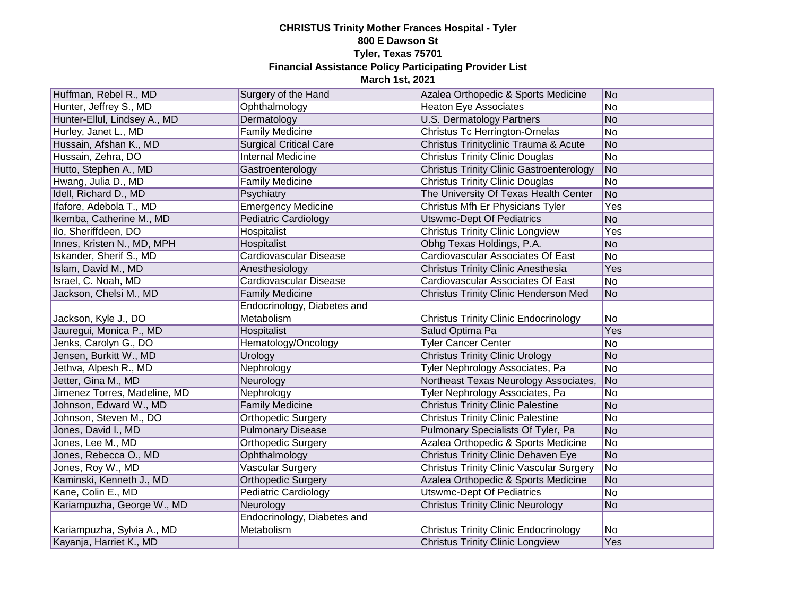| Huffman, Rebel R., MD        | Surgery of the Hand           | Azalea Orthopedic & Sports Medicine             | No              |
|------------------------------|-------------------------------|-------------------------------------------------|-----------------|
| Hunter, Jeffrey S., MD       | Ophthalmology                 | <b>Heaton Eye Associates</b>                    | <b>No</b>       |
| Hunter-Ellul, Lindsey A., MD | Dermatology                   | <b>U.S. Dermatology Partners</b>                | No              |
| Hurley, Janet L., MD         | <b>Family Medicine</b>        | <b>Christus Tc Herrington-Ornelas</b>           | No              |
| Hussain, Afshan K., MD       | <b>Surgical Critical Care</b> | Christus Trinityclinic Trauma & Acute           | No              |
| Hussain, Zehra, DO           | <b>Internal Medicine</b>      | <b>Christus Trinity Clinic Douglas</b>          | <b>No</b>       |
| Hutto, Stephen A., MD        | Gastroenterology              | <b>Christus Trinity Clinic Gastroenterology</b> | No              |
| Hwang, Julia D., MD          | <b>Family Medicine</b>        | <b>Christus Trinity Clinic Douglas</b>          | No              |
| Idell, Richard D., MD        | Psychiatry                    | The University Of Texas Health Center           | No              |
| Ifafore, Adebola T., MD      | <b>Emergency Medicine</b>     | Christus Mfh Er Physicians Tyler                | Yes             |
| Ikemba, Catherine M., MD     | <b>Pediatric Cardiology</b>   | <b>Utswmc-Dept Of Pediatrics</b>                | <b>No</b>       |
| Ilo, Sheriffdeen, DO         | Hospitalist                   | <b>Christus Trinity Clinic Longview</b>         | Yes             |
| Innes, Kristen N., MD, MPH   | Hospitalist                   | Obhg Texas Holdings, P.A.                       | <b>No</b>       |
| Iskander, Sherif S., MD      | Cardiovascular Disease        | Cardiovascular Associates Of East               | <b>No</b>       |
| Islam, David M., MD          | Anesthesiology                | Christus Trinity Clinic Anesthesia              | Yes             |
| Israel, C. Noah, MD          | Cardiovascular Disease        | Cardiovascular Associates Of East               | No              |
| Jackson, Chelsi M., MD       | <b>Family Medicine</b>        | Christus Trinity Clinic Henderson Med           | N <sub>o</sub>  |
|                              | Endocrinology, Diabetes and   |                                                 |                 |
| Jackson, Kyle J., DO         | Metabolism                    | <b>Christus Trinity Clinic Endocrinology</b>    | No              |
| Jauregui, Monica P., MD      | Hospitalist                   | Salud Optima Pa                                 | Yes             |
| Jenks, Carolyn G., DO        | Hematology/Oncology           | <b>Tyler Cancer Center</b>                      | No              |
| Jensen, Burkitt W., MD       | Urology                       | <b>Christus Trinity Clinic Urology</b>          | No              |
| Jethva, Alpesh R., MD        | Nephrology                    | Tyler Nephrology Associates, Pa                 | No              |
| Jetter, Gina M., MD          | Neurology                     | Northeast Texas Neurology Associates,           | N <sub>o</sub>  |
| Jimenez Torres, Madeline, MD | Nephrology                    | Tyler Nephrology Associates, Pa                 | No              |
| Johnson, Edward W., MD       | <b>Family Medicine</b>        | <b>Christus Trinity Clinic Palestine</b>        | No              |
| Johnson, Steven M., DO       | <b>Orthopedic Surgery</b>     | <b>Christus Trinity Clinic Palestine</b>        | <b>No</b>       |
| Jones, David I., MD          | <b>Pulmonary Disease</b>      | Pulmonary Specialists Of Tyler, Pa              | No              |
| Jones, Lee M., MD            | <b>Orthopedic Surgery</b>     | Azalea Orthopedic & Sports Medicine             | No              |
| Jones, Rebecca O., MD        | Ophthalmology                 | <b>Christus Trinity Clinic Dehaven Eye</b>      | No              |
| Jones, Roy W., MD            | Vascular Surgery              | <b>Christus Trinity Clinic Vascular Surgery</b> | No.             |
| Kaminski, Kenneth J., MD     | <b>Orthopedic Surgery</b>     | Azalea Orthopedic & Sports Medicine             | No              |
| Kane, Colin E., MD           | <b>Pediatric Cardiology</b>   | <b>Utswmc-Dept Of Pediatrics</b>                | $\overline{No}$ |
| Kariampuzha, George W., MD   | Neurology                     | <b>Christus Trinity Clinic Neurology</b>        | No              |
|                              | Endocrinology, Diabetes and   |                                                 |                 |
| Kariampuzha, Sylvia A., MD   | Metabolism                    | <b>Christus Trinity Clinic Endocrinology</b>    | No              |
| Kayanja, Harriet K., MD      |                               | <b>Christus Trinity Clinic Longview</b>         | Yes             |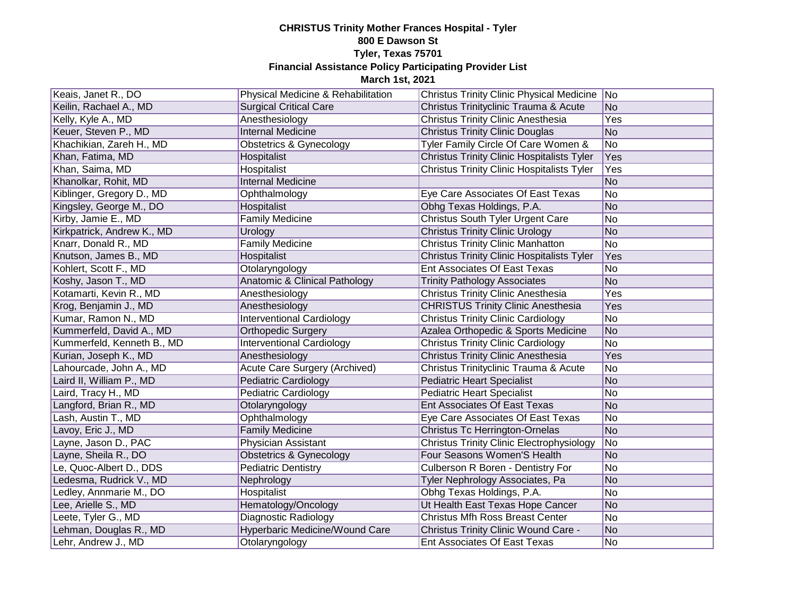| Keais, Janet R., DO        | Physical Medicine & Rehabilitation | Christus Trinity Clinic Physical Medicine No      |                |
|----------------------------|------------------------------------|---------------------------------------------------|----------------|
| Keilin, Rachael A., MD     | <b>Surgical Critical Care</b>      | Christus Trinityclinic Trauma & Acute             | N <sub>o</sub> |
| Kelly, Kyle A., MD         | Anesthesiology                     | <b>Christus Trinity Clinic Anesthesia</b>         | Yes            |
| Keuer, Steven P., MD       | <b>Internal Medicine</b>           | <b>Christus Trinity Clinic Douglas</b>            | No             |
| Khachikian, Zareh H., MD   | <b>Obstetrics &amp; Gynecology</b> | Tyler Family Circle Of Care Women &               | No             |
| Khan, Fatima, MD           | Hospitalist                        | <b>Christus Trinity Clinic Hospitalists Tyler</b> | Yes            |
| Khan, Saima, MD            | Hospitalist                        | <b>Christus Trinity Clinic Hospitalists Tyler</b> | Yes            |
| Khanolkar, Rohit, MD       | <b>Internal Medicine</b>           |                                                   | No             |
| Kiblinger, Gregory D., MD  | Ophthalmology                      | Eye Care Associates Of East Texas                 | No             |
| Kingsley, George M., DO    | Hospitalist                        | Obhg Texas Holdings, P.A.                         | N <sub>o</sub> |
| Kirby, Jamie E., MD        | <b>Family Medicine</b>             | Christus South Tyler Urgent Care                  | No             |
| Kirkpatrick, Andrew K., MD | Urology                            | <b>Christus Trinity Clinic Urology</b>            | No             |
| Knarr, Donald R., MD       | <b>Family Medicine</b>             | <b>Christus Trinity Clinic Manhatton</b>          | No             |
| Knutson, James B., MD      | Hospitalist                        | <b>Christus Trinity Clinic Hospitalists Tyler</b> | Yes            |
| Kohlert, Scott F., MD      | Otolaryngology                     | Ent Associates Of East Texas                      | No             |
| Koshy, Jason T., MD        | Anatomic & Clinical Pathology      | <b>Trinity Pathology Associates</b>               | N <sub>o</sub> |
| Kotamarti, Kevin R., MD    | Anesthesiology                     | <b>Christus Trinity Clinic Anesthesia</b>         | Yes            |
| Krog, Benjamin J., MD      | Anesthesiology                     | <b>CHRISTUS Trinity Clinic Anesthesia</b>         | Yes            |
| Kumar, Ramon N., MD        | <b>Interventional Cardiology</b>   | <b>Christus Trinity Clinic Cardiology</b>         | No             |
| Kummerfeld, David A., MD   | <b>Orthopedic Surgery</b>          | Azalea Orthopedic & Sports Medicine               | No             |
| Kummerfeld, Kenneth B., MD | <b>Interventional Cardiology</b>   | <b>Christus Trinity Clinic Cardiology</b>         | <b>No</b>      |
| Kurian, Joseph K., MD      | Anesthesiology                     | Christus Trinity Clinic Anesthesia                | Yes            |
| Lahourcade, John A., MD    | Acute Care Surgery (Archived)      | Christus Trinityclinic Trauma & Acute             | <b>No</b>      |
| Laird II, William P., MD   | Pediatric Cardiology               | <b>Pediatric Heart Specialist</b>                 | No             |
| Laird, Tracy H., MD        | <b>Pediatric Cardiology</b>        | <b>Pediatric Heart Specialist</b>                 | <b>No</b>      |
| Langford, Brian R., MD     | Otolaryngology                     | Ent Associates Of East Texas                      | No             |
| Lash, Austin T., MD        | Ophthalmology                      | Eye Care Associates Of East Texas                 | No             |
| Lavoy, Eric J., MD         | <b>Family Medicine</b>             | <b>Christus Tc Herrington-Ornelas</b>             | No             |
| Layne, Jason D., PAC       | <b>Physician Assistant</b>         | <b>Christus Trinity Clinic Electrophysiology</b>  | No.            |
| Layne, Sheila R., DO       | <b>Obstetrics &amp; Gynecology</b> | Four Seasons Women'S Health                       | No             |
| Le, Quoc-Albert D., DDS    | <b>Pediatric Dentistry</b>         | Culberson R Boren - Dentistry For                 | No             |
| Ledesma, Rudrick V., MD    | Nephrology                         | Tyler Nephrology Associates, Pa                   | No             |
| Ledley, Annmarie M., DO    | Hospitalist                        | Obhg Texas Holdings, P.A.                         | No             |
| Lee, Arielle S., MD        | Hematology/Oncology                | Ut Health East Texas Hope Cancer                  | No             |
| Leete, Tyler G., MD        | Diagnostic Radiology               | <b>Christus Mfh Ross Breast Center</b>            | No             |
| Lehman, Douglas R., MD     | Hyperbaric Medicine/Wound Care     | <b>Christus Trinity Clinic Wound Care -</b>       | No             |
| Lehr, Andrew J., MD        | Otolaryngology                     | Ent Associates Of East Texas                      | No.            |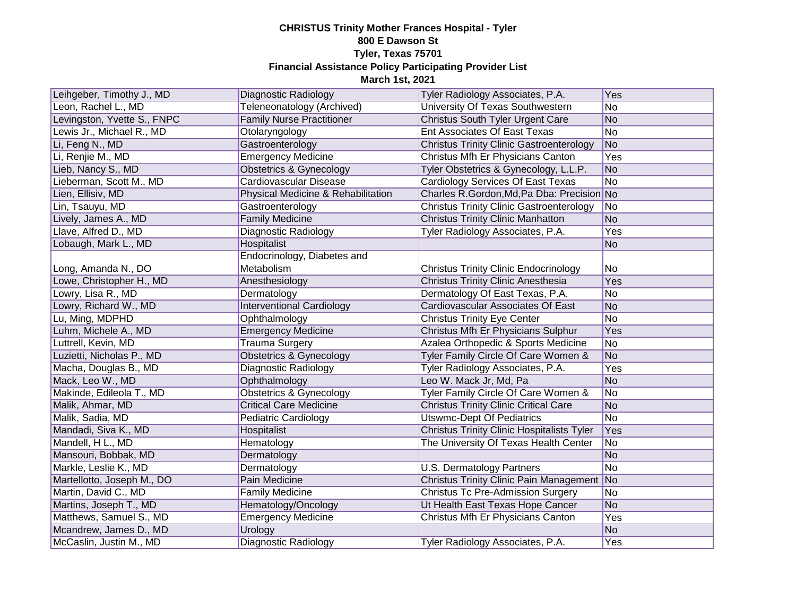| Leihgeber, Timothy J., MD   | Diagnostic Radiology               | Tyler Radiology Associates, P.A.                  | Yes       |
|-----------------------------|------------------------------------|---------------------------------------------------|-----------|
| Leon, Rachel L., MD         | Teleneonatology (Archived)         | University Of Texas Southwestern                  | No        |
| Levingston, Yvette S., FNPC | <b>Family Nurse Practitioner</b>   | <b>Christus South Tyler Urgent Care</b>           | No        |
| Lewis Jr., Michael R., MD   | Otolaryngology                     | Ent Associates Of East Texas                      | No        |
| Li, Feng N., MD             | Gastroenterology                   | <b>Christus Trinity Clinic Gastroenterology</b>   | No        |
| Li, Renjie M., MD           | <b>Emergency Medicine</b>          | Christus Mfh Er Physicians Canton                 | Yes       |
| Lieb, Nancy S., MD          | <b>Obstetrics &amp; Gynecology</b> | Tyler Obstetrics & Gynecology, L.L.P.             | No        |
| Lieberman, Scott M., MD     | Cardiovascular Disease             | Cardiology Services Of East Texas                 | No        |
| Lien, Ellisiv, MD           | Physical Medicine & Rehabilitation | Charles R.Gordon, Md, Pa Dba: Precision No        |           |
| Lin, Tsauyu, MD             | Gastroenterology                   | <b>Christus Trinity Clinic Gastroenterology</b>   | No        |
| Lively, James A., MD        | <b>Family Medicine</b>             | <b>Christus Trinity Clinic Manhatton</b>          | No        |
| Llave, Alfred D., MD        | Diagnostic Radiology               | Tyler Radiology Associates, P.A.                  | Yes       |
| Lobaugh, Mark L., MD        | Hospitalist                        |                                                   | No        |
|                             | Endocrinology, Diabetes and        |                                                   |           |
| Long, Amanda N., DO         | Metabolism                         | <b>Christus Trinity Clinic Endocrinology</b>      | No        |
| Lowe, Christopher H., MD    | Anesthesiology                     | <b>Christus Trinity Clinic Anesthesia</b>         | Yes       |
| Lowry, Lisa R., MD          | Dermatology                        | Dermatology Of East Texas, P.A.                   | No        |
| Lowry, Richard W., MD       | <b>Interventional Cardiology</b>   | Cardiovascular Associates Of East                 | No        |
| Lu, Ming, MDPHD             | Ophthalmology                      | <b>Christus Trinity Eye Center</b>                | No        |
| Luhm, Michele A., MD        | <b>Emergency Medicine</b>          | Christus Mfh Er Physicians Sulphur                | Yes       |
| Luttrell, Kevin, MD         | <b>Trauma Surgery</b>              | Azalea Orthopedic & Sports Medicine               | No        |
| Luzietti, Nicholas P., MD   | <b>Obstetrics &amp; Gynecology</b> | Tyler Family Circle Of Care Women &               | No        |
| Macha, Douglas B., MD       | <b>Diagnostic Radiology</b>        | Tyler Radiology Associates, P.A.                  | Yes       |
| Mack, Leo W., MD            | Ophthalmology                      | Leo W. Mack Jr, Md, Pa                            | No        |
| Makinde, Edileola T., MD    | Obstetrics & Gynecology            | Tyler Family Circle Of Care Women &               | No        |
| Malik, Ahmar, MD            | <b>Critical Care Medicine</b>      | <b>Christus Trinity Clinic Critical Care</b>      | <b>No</b> |
| Malik, Sadia, MD            | <b>Pediatric Cardiology</b>        | <b>Utswmc-Dept Of Pediatrics</b>                  | No        |
| Mandadi, Siva K., MD        | Hospitalist                        | <b>Christus Trinity Clinic Hospitalists Tyler</b> | Yes       |
| Mandell, H L., MD           | Hematology                         | The University Of Texas Health Center             | No        |
| Mansouri, Bobbak, MD        | Dermatology                        |                                                   | <b>No</b> |
| Markle, Leslie K., MD       | Dermatology                        | <b>U.S. Dermatology Partners</b>                  | No        |
| Martellotto, Joseph M., DO  | Pain Medicine                      | Christus Trinity Clinic Pain Management No        |           |
| Martin, David C., MD        | <b>Family Medicine</b>             | <b>Christus Tc Pre-Admission Surgery</b>          | No        |
| Martins, Joseph T., MD      | Hematology/Oncology                | Ut Health East Texas Hope Cancer                  | No        |
| Matthews, Samuel S., MD     | <b>Emergency Medicine</b>          | Christus Mfh Er Physicians Canton                 | Yes       |
| Mcandrew, James D., MD      | Urology                            |                                                   | No        |
| McCaslin, Justin M., MD     | Diagnostic Radiology               | Tyler Radiology Associates, P.A.                  | Yes       |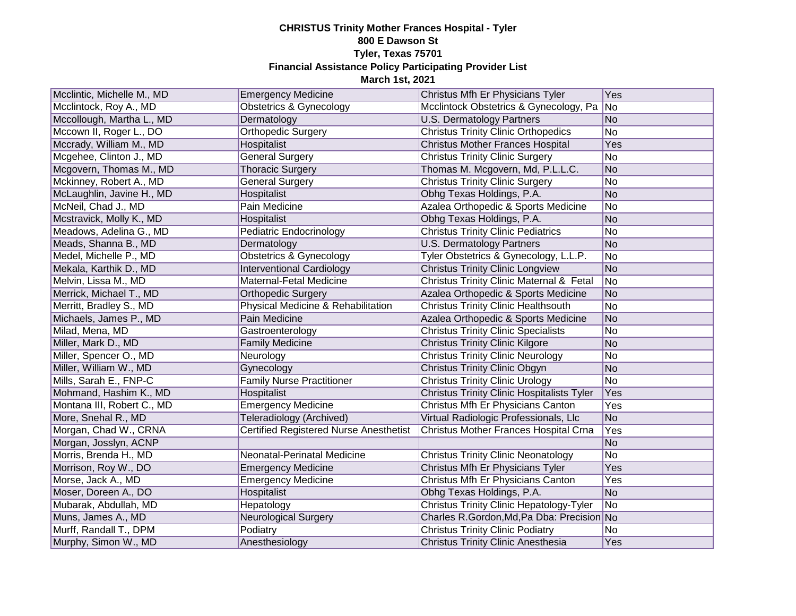| Mcclintic, Michelle M., MD | <b>Emergency Medicine</b>                     | Christus Mfh Er Physicians Tyler                  | Yes |
|----------------------------|-----------------------------------------------|---------------------------------------------------|-----|
| Mcclintock, Roy A., MD     | <b>Obstetrics &amp; Gynecology</b>            | Mcclintock Obstetrics & Gynecology, Pa            | No  |
| Mccollough, Martha L., MD  | Dermatology                                   | U.S. Dermatology Partners                         | No  |
| Mccown II, Roger L., DO    | <b>Orthopedic Surgery</b>                     | <b>Christus Trinity Clinic Orthopedics</b>        | No  |
| Mccrady, William M., MD    | Hospitalist                                   | <b>Christus Mother Frances Hospital</b>           | Yes |
| Mcgehee, Clinton J., MD    | <b>General Surgery</b>                        | <b>Christus Trinity Clinic Surgery</b>            | No  |
| Mcgovern, Thomas M., MD    | <b>Thoracic Surgery</b>                       | Thomas M. Mcgovern, Md, P.L.L.C.                  | No  |
| Mckinney, Robert A., MD    | <b>General Surgery</b>                        | <b>Christus Trinity Clinic Surgery</b>            | No  |
| McLaughlin, Javine H., MD  | Hospitalist                                   | Obhg Texas Holdings, P.A.                         | No  |
| McNeil, Chad J., MD        | Pain Medicine                                 | Azalea Orthopedic & Sports Medicine               | No  |
| Mcstravick, Molly K., MD   | Hospitalist                                   | Obhg Texas Holdings, P.A.                         | No  |
| Meadows, Adelina G., MD    | Pediatric Endocrinology                       | <b>Christus Trinity Clinic Pediatrics</b>         | No  |
| Meads, Shanna B., MD       | Dermatology                                   | <b>U.S. Dermatology Partners</b>                  | No  |
| Medel, Michelle P., MD     | <b>Obstetrics &amp; Gynecology</b>            | Tyler Obstetrics & Gynecology, L.L.P.             | No  |
| Mekala, Karthik D., MD     | <b>Interventional Cardiology</b>              | <b>Christus Trinity Clinic Longview</b>           | No  |
| Melvin, Lissa M., MD       | <b>Maternal-Fetal Medicine</b>                | Christus Trinity Clinic Maternal & Fetal          | No  |
| Merrick, Michael T., MD    | <b>Orthopedic Surgery</b>                     | Azalea Orthopedic & Sports Medicine               | No  |
| Merritt, Bradley S., MD    | Physical Medicine & Rehabilitation            | <b>Christus Trinity Clinic Healthsouth</b>        | No  |
| Michaels, James P., MD     | Pain Medicine                                 | Azalea Orthopedic & Sports Medicine               | No  |
| Milad, Mena, MD            | Gastroenterology                              | <b>Christus Trinity Clinic Specialists</b>        | No  |
| Miller, Mark D., MD        | <b>Family Medicine</b>                        | <b>Christus Trinity Clinic Kilgore</b>            | No  |
| Miller, Spencer O., MD     | Neurology                                     | <b>Christus Trinity Clinic Neurology</b>          | No  |
| Miller, William W., MD     | Gynecology                                    | <b>Christus Trinity Clinic Obgyn</b>              | No  |
| Mills, Sarah E., FNP-C     | <b>Family Nurse Practitioner</b>              | <b>Christus Trinity Clinic Urology</b>            | No  |
| Mohmand, Hashim K., MD     | Hospitalist                                   | <b>Christus Trinity Clinic Hospitalists Tyler</b> | Yes |
| Montana III, Robert C., MD | <b>Emergency Medicine</b>                     | Christus Mfh Er Physicians Canton                 | Yes |
| More, Snehal R., MD        | <b>Teleradiology (Archived)</b>               | Virtual Radiologic Professionals, Llc             | No  |
| Morgan, Chad W., CRNA      | <b>Certified Registered Nurse Anesthetist</b> | Christus Mother Frances Hospital Crna             | Yes |
| Morgan, Josslyn, ACNP      |                                               |                                                   | No  |
| Morris, Brenda H., MD      | Neonatal-Perinatal Medicine                   | <b>Christus Trinity Clinic Neonatology</b>        | No  |
| Morrison, Roy W., DO       | <b>Emergency Medicine</b>                     | Christus Mfh Er Physicians Tyler                  | Yes |
| Morse, Jack A., MD         | <b>Emergency Medicine</b>                     | Christus Mfh Er Physicians Canton                 | Yes |
| Moser, Doreen A., DO       | Hospitalist                                   | Obhg Texas Holdings, P.A.                         | No  |
| Mubarak, Abdullah, MD      | Hepatology                                    | <b>Christus Trinity Clinic Hepatology-Tyler</b>   | No. |
| Muns, James A., MD         | Neurological Surgery                          | Charles R.Gordon, Md, Pa Dba: Precision No        |     |
| Murff, Randall T., DPM     | Podiatry                                      | <b>Christus Trinity Clinic Podiatry</b>           | No  |
| Murphy, Simon W., MD       | Anesthesiology                                | Christus Trinity Clinic Anesthesia                | Yes |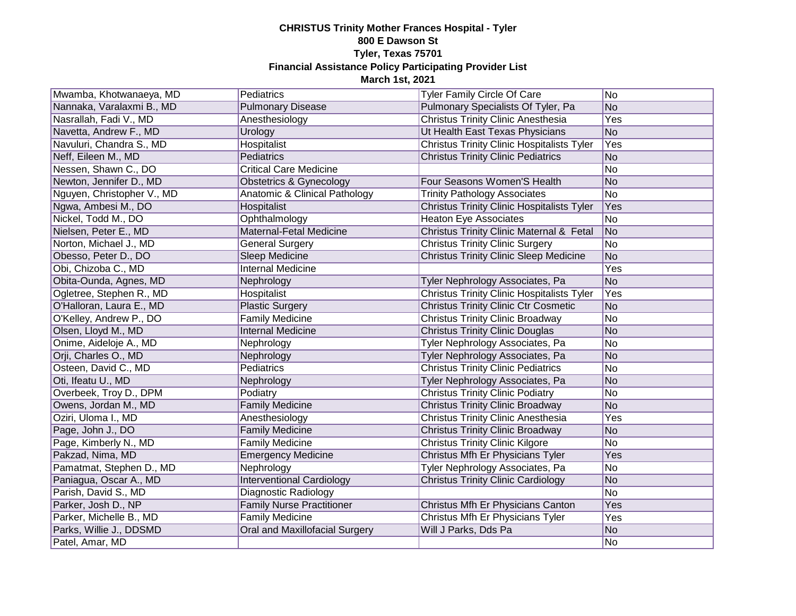| Mwamba, Khotwanaeya, MD    | Pediatrics                       | Tyler Family Circle Of Care                       | No         |
|----------------------------|----------------------------------|---------------------------------------------------|------------|
| Nannaka, Varalaxmi B., MD  | <b>Pulmonary Disease</b>         | Pulmonary Specialists Of Tyler, Pa                | No         |
| Nasrallah, Fadi V., MD     | Anesthesiology                   | <b>Christus Trinity Clinic Anesthesia</b>         | <b>Yes</b> |
| Navetta, Andrew F., MD     | Urology                          | Ut Health East Texas Physicians                   | No         |
| Navuluri, Chandra S., MD   | <b>Hospitalist</b>               | <b>Christus Trinity Clinic Hospitalists Tyler</b> | Yes        |
| Neff, Eileen M., MD        | Pediatrics                       | <b>Christus Trinity Clinic Pediatrics</b>         | No         |
| Nessen, Shawn C., DO       | <b>Critical Care Medicine</b>    |                                                   | No         |
| Newton, Jennifer D., MD    | Obstetrics & Gynecology          | Four Seasons Women'S Health                       | No         |
| Nguyen, Christopher V., MD | Anatomic & Clinical Pathology    | <b>Trinity Pathology Associates</b>               | No         |
| Ngwa, Ambesi M., DO        | Hospitalist                      | <b>Christus Trinity Clinic Hospitalists Tyler</b> | Yes        |
| Nickel, Todd M., DO        | Ophthalmology                    | <b>Heaton Eye Associates</b>                      | No         |
| Nielsen, Peter E., MD      | Maternal-Fetal Medicine          | Christus Trinity Clinic Maternal & Fetal          | No         |
| Norton, Michael J., MD     | <b>General Surgery</b>           | <b>Christus Trinity Clinic Surgery</b>            | No         |
| Obesso, Peter D., DO       | Sleep Medicine                   | <b>Christus Trinity Clinic Sleep Medicine</b>     | <b>No</b>  |
| Obi, Chizoba C., MD        | <b>Internal Medicine</b>         |                                                   | Yes        |
| Obita-Ounda, Agnes, MD     | Nephrology                       | Tyler Nephrology Associates, Pa                   | No         |
| Ogletree, Stephen R., MD   | Hospitalist                      | <b>Christus Trinity Clinic Hospitalists Tyler</b> | Yes        |
| O'Halloran, Laura E., MD   | <b>Plastic Surgery</b>           | <b>Christus Trinity Clinic Ctr Cosmetic</b>       | No         |
| O'Kelley, Andrew P., DO    | <b>Family Medicine</b>           | <b>Christus Trinity Clinic Broadway</b>           | No         |
| Olsen, Lloyd M., MD        | <b>Internal Medicine</b>         | <b>Christus Trinity Clinic Douglas</b>            | No         |
| Onime, Aideloje A., MD     | Nephrology                       | Tyler Nephrology Associates, Pa                   | No         |
| Orji, Charles O., MD       | Nephrology                       | Tyler Nephrology Associates, Pa                   | No         |
| Osteen, David C., MD       | Pediatrics                       | <b>Christus Trinity Clinic Pediatrics</b>         | No         |
| Oti, Ifeatu U., MD         | Nephrology                       | Tyler Nephrology Associates, Pa                   | No         |
| Overbeek, Troy D., DPM     | Podiatry                         | <b>Christus Trinity Clinic Podiatry</b>           | No         |
| Owens, Jordan M., MD       | <b>Family Medicine</b>           | <b>Christus Trinity Clinic Broadway</b>           | No         |
| Oziri, Uloma I., MD        | Anesthesiology                   | <b>Christus Trinity Clinic Anesthesia</b>         | Yes        |
| Page, John J., DO          | <b>Family Medicine</b>           | <b>Christus Trinity Clinic Broadway</b>           | No         |
| Page, Kimberly N., MD      | <b>Family Medicine</b>           | <b>Christus Trinity Clinic Kilgore</b>            | No         |
| Pakzad, Nima, MD           | <b>Emergency Medicine</b>        | Christus Mfh Er Physicians Tyler                  | Yes        |
| Pamatmat, Stephen D., MD   | Nephrology                       | Tyler Nephrology Associates, Pa                   | No         |
| Paniagua, Oscar A., MD     | <b>Interventional Cardiology</b> | <b>Christus Trinity Clinic Cardiology</b>         | No         |
| Parish, David S., MD       | Diagnostic Radiology             |                                                   | No         |
| Parker, Josh D., NP        | <b>Family Nurse Practitioner</b> | Christus Mfh Er Physicians Canton                 | Yes        |
| Parker, Michelle B., MD    | <b>Family Medicine</b>           | Christus Mfh Er Physicians Tyler                  | Yes        |
| Parks, Willie J., DDSMD    | Oral and Maxillofacial Surgery   | Will J Parks, Dds Pa                              | No         |
| Patel, Amar, MD            |                                  |                                                   | No         |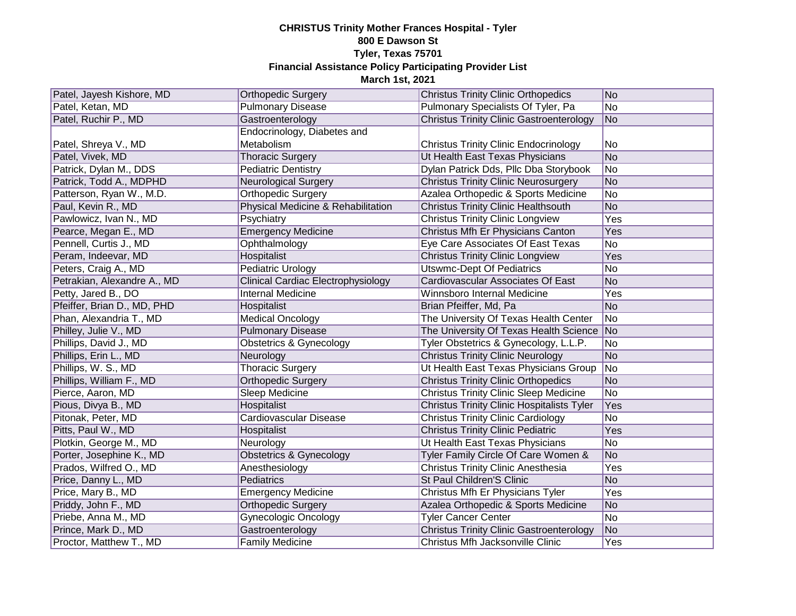| Patel, Jayesh Kishore, MD   | <b>Orthopedic Surgery</b>          | <b>Christus Trinity Clinic Orthopedics</b>        | No         |
|-----------------------------|------------------------------------|---------------------------------------------------|------------|
| Patel, Ketan, MD            | <b>Pulmonary Disease</b>           | Pulmonary Specialists Of Tyler, Pa                | No         |
| Patel, Ruchir P., MD        | Gastroenterology                   | <b>Christus Trinity Clinic Gastroenterology</b>   | No         |
|                             | Endocrinology, Diabetes and        |                                                   |            |
| Patel, Shreya V., MD        | Metabolism                         | <b>Christus Trinity Clinic Endocrinology</b>      | No         |
| Patel, Vivek, MD            | <b>Thoracic Surgery</b>            | Ut Health East Texas Physicians                   | No         |
| Patrick, Dylan M., DDS      | <b>Pediatric Dentistry</b>         | Dylan Patrick Dds, Pllc Dba Storybook             | No         |
| Patrick, Todd A., MDPHD     | <b>Neurological Surgery</b>        | <b>Christus Trinity Clinic Neurosurgery</b>       | No         |
| Patterson, Ryan W., M.D.    | <b>Orthopedic Surgery</b>          | Azalea Orthopedic & Sports Medicine               | No         |
| Paul, Kevin R., MD          | Physical Medicine & Rehabilitation | <b>Christus Trinity Clinic Healthsouth</b>        | No         |
| Pawlowicz, Ivan N., MD      | Psychiatry                         | <b>Christus Trinity Clinic Longview</b>           | Yes        |
| Pearce, Megan E., MD        | <b>Emergency Medicine</b>          | Christus Mfh Er Physicians Canton                 | Yes        |
| Pennell, Curtis J., MD      | Ophthalmology                      | Eye Care Associates Of East Texas                 | No         |
| Peram, Indeevar, MD         | Hospitalist                        | <b>Christus Trinity Clinic Longview</b>           | Yes        |
| Peters, Craig A., MD        | Pediatric Urology                  | <b>Utswmc-Dept Of Pediatrics</b>                  | No         |
| Petrakian, Alexandre A., MD | Clinical Cardiac Electrophysiology | Cardiovascular Associates Of East                 | No         |
| Petty, Jared B., DO         | <b>Internal Medicine</b>           | Winnsboro Internal Medicine                       | Yes        |
| Pfeiffer, Brian D., MD, PHD | Hospitalist                        | Brian Pfeiffer, Md, Pa                            | No         |
| Phan, Alexandria T., MD     | <b>Medical Oncology</b>            | The University Of Texas Health Center             | No         |
| Philley, Julie V., MD       | <b>Pulmonary Disease</b>           | The University Of Texas Health Science No         |            |
| Phillips, David J., MD      | <b>Obstetrics &amp; Gynecology</b> | Tyler Obstetrics & Gynecology, L.L.P.             | No         |
| Phillips, Erin L., MD       | Neurology                          | <b>Christus Trinity Clinic Neurology</b>          | No         |
| Phillips, W. S., MD         | <b>Thoracic Surgery</b>            | Ut Health East Texas Physicians Group             | No         |
| Phillips, William F., MD    | <b>Orthopedic Surgery</b>          | <b>Christus Trinity Clinic Orthopedics</b>        | No         |
| Pierce, Aaron, MD           | Sleep Medicine                     | <b>Christus Trinity Clinic Sleep Medicine</b>     | No         |
| Pious, Divya B., MD         | Hospitalist                        | <b>Christus Trinity Clinic Hospitalists Tyler</b> | Yes        |
| Pitonak, Peter, MD          | <b>Cardiovascular Disease</b>      | <b>Christus Trinity Clinic Cardiology</b>         | No         |
| Pitts, Paul W., MD          | Hospitalist                        | <b>Christus Trinity Clinic Pediatric</b>          | Yes        |
| Plotkin, George M., MD      | Neurology                          | Ut Health East Texas Physicians                   | No         |
| Porter, Josephine K., MD    | Obstetrics & Gynecology            | Tyler Family Circle Of Care Women &               | No         |
| Prados, Wilfred O., MD      | Anesthesiology                     | <b>Christus Trinity Clinic Anesthesia</b>         | Yes        |
| Price, Danny L., MD         | Pediatrics                         | <b>St Paul Children'S Clinic</b>                  | No         |
| Price, Mary B., MD          | <b>Emergency Medicine</b>          | Christus Mfh Er Physicians Tyler                  | Yes        |
| Priddy, John F., MD         | <b>Orthopedic Surgery</b>          | Azalea Orthopedic & Sports Medicine               | No         |
| Priebe, Anna M., MD         | <b>Gynecologic Oncology</b>        | <b>Tyler Cancer Center</b>                        | No         |
| Prince, Mark D., MD         | Gastroenterology                   | <b>Christus Trinity Clinic Gastroenterology</b>   | No         |
| Proctor, Matthew T., MD     | <b>Family Medicine</b>             | Christus Mfh Jacksonville Clinic                  | <b>Yes</b> |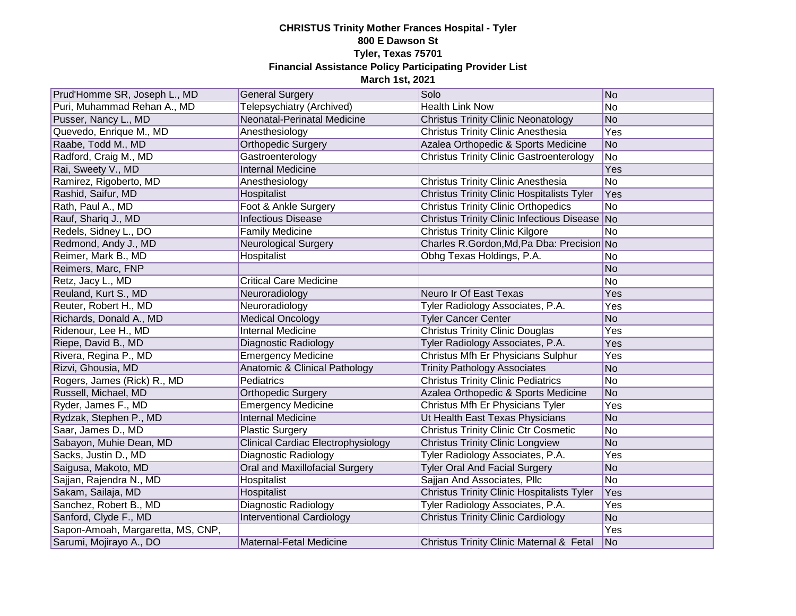| Prud'Homme SR, Joseph L., MD      | <b>General Surgery</b>                    | Solo                                              | No        |
|-----------------------------------|-------------------------------------------|---------------------------------------------------|-----------|
| Puri, Muhammad Rehan A., MD       | Telepsychiatry (Archived)                 | <b>Health Link Now</b>                            | No        |
| Pusser, Nancy L., MD              | Neonatal-Perinatal Medicine               | <b>Christus Trinity Clinic Neonatology</b>        | No        |
| Quevedo, Enrique M., MD           | Anesthesiology                            | <b>Christus Trinity Clinic Anesthesia</b>         | Yes       |
| Raabe, Todd M., MD                | <b>Orthopedic Surgery</b>                 | Azalea Orthopedic & Sports Medicine               | No        |
| Radford, Craig M., MD             | Gastroenterology                          | <b>Christus Trinity Clinic Gastroenterology</b>   | <b>No</b> |
| Rai, Sweety V., MD                | <b>Internal Medicine</b>                  |                                                   | Yes       |
| Ramirez, Rigoberto, MD            | Anesthesiology                            | Christus Trinity Clinic Anesthesia                | <b>No</b> |
| Rashid, Saifur, MD                | Hospitalist                               | <b>Christus Trinity Clinic Hospitalists Tyler</b> | Yes       |
| Rath, Paul A., MD                 | Foot & Ankle Surgery                      | <b>Christus Trinity Clinic Orthopedics</b>        | No        |
| Rauf, Shariq J., MD               | <b>Infectious Disease</b>                 | Christus Trinity Clinic Infectious Disease No     |           |
| Redels, Sidney L., DO             | <b>Family Medicine</b>                    | <b>Christus Trinity Clinic Kilgore</b>            | <b>No</b> |
| Redmond, Andy J., MD              | <b>Neurological Surgery</b>               | Charles R.Gordon, Md, Pa Dba: Precision No        |           |
| Reimer, Mark B., MD               | Hospitalist                               | Obhg Texas Holdings, P.A.                         | No        |
| Reimers, Marc, FNP                |                                           |                                                   | <b>No</b> |
| Retz, Jacy L., MD                 | <b>Critical Care Medicine</b>             |                                                   | <b>No</b> |
| Reuland, Kurt S., MD              | Neuroradiology                            | Neuro Ir Of East Texas                            | Yes       |
| Reuter, Robert H., MD             | Neuroradiology                            | Tyler Radiology Associates, P.A.                  | Yes       |
| Richards, Donald A., MD           | <b>Medical Oncology</b>                   | <b>Tyler Cancer Center</b>                        | <b>No</b> |
| Ridenour, Lee H., MD              | <b>Internal Medicine</b>                  | <b>Christus Trinity Clinic Douglas</b>            | Yes       |
| Riepe, David B., MD               | Diagnostic Radiology                      | Tyler Radiology Associates, P.A.                  | Yes       |
| Rivera, Regina P., MD             | <b>Emergency Medicine</b>                 | Christus Mfh Er Physicians Sulphur                | Yes       |
| Rizvi, Ghousia, MD                | <b>Anatomic &amp; Clinical Pathology</b>  | <b>Trinity Pathology Associates</b>               | <b>No</b> |
| Rogers, James (Rick) R., MD       | Pediatrics                                | <b>Christus Trinity Clinic Pediatrics</b>         | No        |
| Russell, Michael, MD              | Orthopedic Surgery                        | Azalea Orthopedic & Sports Medicine               | No        |
| Ryder, James F., MD               | <b>Emergency Medicine</b>                 | Christus Mfh Er Physicians Tyler                  | Yes       |
| Rydzak, Stephen P., MD            | <b>Internal Medicine</b>                  | Ut Health East Texas Physicians                   | No        |
| Saar, James D., MD                | <b>Plastic Surgery</b>                    | <b>Christus Trinity Clinic Ctr Cosmetic</b>       | No        |
| Sabayon, Muhie Dean, MD           | <b>Clinical Cardiac Electrophysiology</b> | <b>Christus Trinity Clinic Longview</b>           | <b>No</b> |
| Sacks, Justin D., MD              | Diagnostic Radiology                      | Tyler Radiology Associates, P.A.                  | Yes       |
| Saigusa, Makoto, MD               | Oral and Maxillofacial Surgery            | <b>Tyler Oral And Facial Surgery</b>              | <b>No</b> |
| Sajjan, Rajendra N., MD           | Hospitalist                               | Sajjan And Associates, Pllc                       | <b>No</b> |
| Sakam, Sailaja, MD                | Hospitalist                               | <b>Christus Trinity Clinic Hospitalists Tyler</b> | Yes       |
| Sanchez, Robert B., MD            | Diagnostic Radiology                      | Tyler Radiology Associates, P.A.                  | Yes       |
| Sanford, Clyde F., MD             | <b>Interventional Cardiology</b>          | <b>Christus Trinity Clinic Cardiology</b>         | <b>No</b> |
| Sapon-Amoah, Margaretta, MS, CNP, |                                           |                                                   | Yes       |
| Sarumi, Mojirayo A., DO           | Maternal-Fetal Medicine                   | Christus Trinity Clinic Maternal & Fetal          | No        |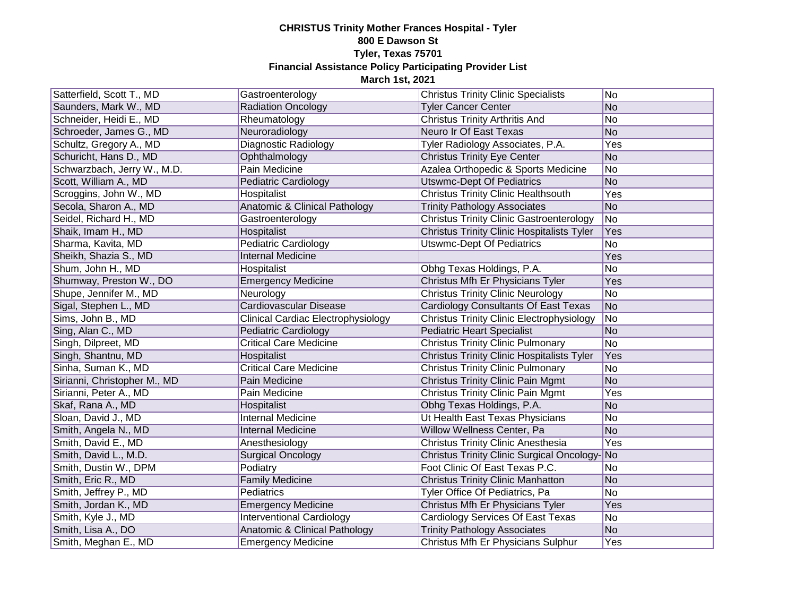| Satterfield, Scott T., MD    | Gastroenterology                          | <b>Christus Trinity Clinic Specialists</b>        | No        |
|------------------------------|-------------------------------------------|---------------------------------------------------|-----------|
| Saunders, Mark W., MD        | <b>Radiation Oncology</b>                 | <b>Tyler Cancer Center</b>                        | No        |
| Schneider, Heidi E., MD      | Rheumatology                              | <b>Christus Trinity Arthritis And</b>             | No        |
| Schroeder, James G., MD      | Neuroradiology                            | Neuro Ir Of East Texas                            | No        |
| Schultz, Gregory A., MD      | Diagnostic Radiology                      | Tyler Radiology Associates, P.A.                  | Yes       |
| Schuricht, Hans D., MD       | Ophthalmology                             | <b>Christus Trinity Eye Center</b>                | No        |
| Schwarzbach, Jerry W., M.D.  | Pain Medicine                             | Azalea Orthopedic & Sports Medicine               | No        |
| Scott, William A., MD        | Pediatric Cardiology                      | <b>Utswmc-Dept Of Pediatrics</b>                  | No        |
| Scroggins, John W., MD       | Hospitalist                               | <b>Christus Trinity Clinic Healthsouth</b>        | Yes       |
| Secola, Sharon A., MD        | Anatomic & Clinical Pathology             | <b>Trinity Pathology Associates</b>               | <b>No</b> |
| Seidel, Richard H., MD       | Gastroenterology                          | <b>Christus Trinity Clinic Gastroenterology</b>   | No        |
| Shaik, Imam H., MD           | Hospitalist                               | Christus Trinity Clinic Hospitalists Tyler        | Yes       |
| Sharma, Kavita, MD           | Pediatric Cardiology                      | <b>Utswmc-Dept Of Pediatrics</b>                  | No        |
| Sheikh, Shazia S., MD        | <b>Internal Medicine</b>                  |                                                   | Yes       |
| Shum, John H., MD            | Hospitalist                               | Obhg Texas Holdings, P.A.                         | No        |
| Shumway, Preston W., DO      | <b>Emergency Medicine</b>                 | Christus Mfh Er Physicians Tyler                  | Yes       |
| Shupe, Jennifer M., MD       | Neurology                                 | <b>Christus Trinity Clinic Neurology</b>          | No        |
| Sigal, Stephen L., MD        | Cardiovascular Disease                    | Cardiology Consultants Of East Texas              | No        |
| Sims, John B., MD            | <b>Clinical Cardiac Electrophysiology</b> | Christus Trinity Clinic Electrophysiology         | No        |
| Sing, Alan C., MD            | Pediatric Cardiology                      | <b>Pediatric Heart Specialist</b>                 | No        |
| Singh, Dilpreet, MD          | <b>Critical Care Medicine</b>             | <b>Christus Trinity Clinic Pulmonary</b>          | No        |
| Singh, Shantnu, MD           | Hospitalist                               | <b>Christus Trinity Clinic Hospitalists Tyler</b> | Yes       |
| Sinha, Suman K., MD          | <b>Critical Care Medicine</b>             | <b>Christus Trinity Clinic Pulmonary</b>          | No        |
| Sirianni, Christopher M., MD | Pain Medicine                             | <b>Christus Trinity Clinic Pain Mgmt</b>          | No        |
| Sirianni, Peter A., MD       | Pain Medicine                             | <b>Christus Trinity Clinic Pain Mgmt</b>          | Yes       |
| Skaf, Rana A., MD            | Hospitalist                               | Obhg Texas Holdings, P.A.                         | No        |
| Sloan, David J., MD          | <b>Internal Medicine</b>                  | Ut Health East Texas Physicians                   | No        |
| Smith, Angela N., MD         | <b>Internal Medicine</b>                  | Willow Wellness Center, Pa                        | No        |
| Smith, David E., MD          | Anesthesiology                            | Christus Trinity Clinic Anesthesia                | Yes       |
| Smith, David L., M.D.        | <b>Surgical Oncology</b>                  | Christus Trinity Clinic Surgical Oncology-No      |           |
| Smith, Dustin W., DPM        | Podiatry                                  | Foot Clinic Of East Texas P.C.                    | No        |
| Smith, Eric R., MD           | <b>Family Medicine</b>                    | <b>Christus Trinity Clinic Manhatton</b>          | No        |
| Smith, Jeffrey P., MD        | Pediatrics                                | Tyler Office Of Pediatrics, Pa                    | No        |
| Smith, Jordan K., MD         | <b>Emergency Medicine</b>                 | Christus Mfh Er Physicians Tyler                  | Yes       |
| Smith, Kyle J., MD           | <b>Interventional Cardiology</b>          | Cardiology Services Of East Texas                 | No        |
| Smith, Lisa A., DO           | Anatomic & Clinical Pathology             | <b>Trinity Pathology Associates</b>               | No        |
| Smith, Meghan E., MD         | <b>Emergency Medicine</b>                 | Christus Mfh Er Physicians Sulphur                | Yes       |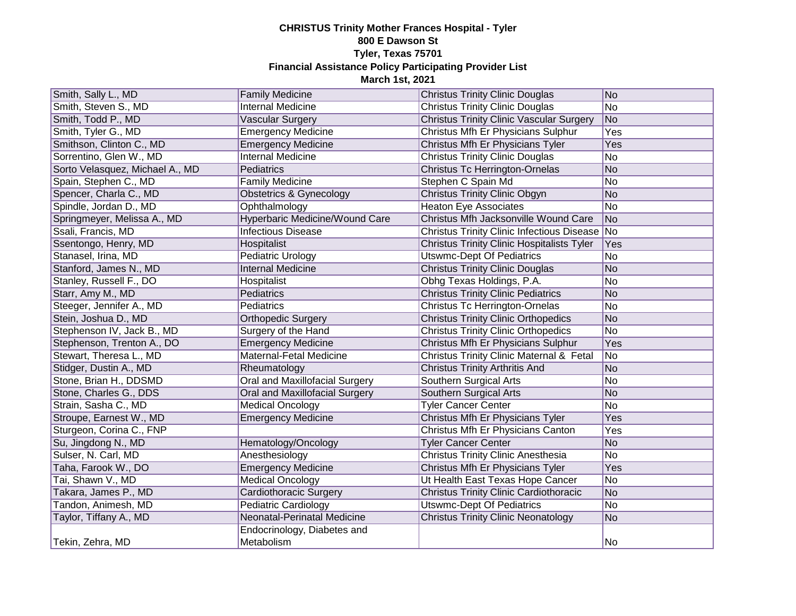| Smith, Sally L., MD             | <b>Family Medicine</b>                    | <b>Christus Trinity Clinic Douglas</b>            | No  |
|---------------------------------|-------------------------------------------|---------------------------------------------------|-----|
| Smith, Steven S., MD            | <b>Internal Medicine</b>                  | <b>Christus Trinity Clinic Douglas</b>            | No  |
| Smith, Todd P., MD              | Vascular Surgery                          | <b>Christus Trinity Clinic Vascular Surgery</b>   | No  |
| Smith, Tyler G., MD             | <b>Emergency Medicine</b>                 | Christus Mfh Er Physicians Sulphur                | Yes |
| Smithson, Clinton C., MD        | <b>Emergency Medicine</b>                 | Christus Mfh Er Physicians Tyler                  | Yes |
| Sorrentino, Glen W., MD         | <b>Internal Medicine</b>                  | <b>Christus Trinity Clinic Douglas</b>            | No  |
| Sorto Velasquez, Michael A., MD | Pediatrics                                | <b>Christus Tc Herrington-Ornelas</b>             | No  |
| Spain, Stephen C., MD           | <b>Family Medicine</b>                    | Stephen C Spain Md                                | No  |
| Spencer, Charla C., MD          | <b>Obstetrics &amp; Gynecology</b>        | <b>Christus Trinity Clinic Obgyn</b>              | No  |
| Spindle, Jordan D., MD          | Ophthalmology                             | <b>Heaton Eye Associates</b>                      | No  |
| Springmeyer, Melissa A., MD     | Hyperbaric Medicine/Wound Care            | Christus Mfh Jacksonville Wound Care              | No  |
| Ssali, Francis, MD              | <b>Infectious Disease</b>                 | Christus Trinity Clinic Infectious Disease No     |     |
| Ssentongo, Henry, MD            | Hospitalist                               | <b>Christus Trinity Clinic Hospitalists Tyler</b> | Yes |
| Stanasel, Irina, MD             | Pediatric Urology                         | <b>Utswmc-Dept Of Pediatrics</b>                  | No  |
| Stanford, James N., MD          | <b>Internal Medicine</b>                  | <b>Christus Trinity Clinic Douglas</b>            | No  |
| Stanley, Russell F., DO         | Hospitalist                               | Obhg Texas Holdings, P.A.                         | No  |
| Starr, Amy M., MD               | Pediatrics                                | <b>Christus Trinity Clinic Pediatrics</b>         | No  |
| Steeger, Jennifer A., MD        | Pediatrics                                | Christus Tc Herrington-Ornelas                    | No  |
| Stein, Joshua D., MD            | <b>Orthopedic Surgery</b>                 | <b>Christus Trinity Clinic Orthopedics</b>        | No  |
| Stephenson IV, Jack B., MD      | Surgery of the Hand                       | <b>Christus Trinity Clinic Orthopedics</b>        | No  |
| Stephenson, Trenton A., DO      | <b>Emergency Medicine</b>                 | Christus Mfh Er Physicians Sulphur                | Yes |
| Stewart, Theresa L., MD         | Maternal-Fetal Medicine                   | Christus Trinity Clinic Maternal & Fetal          | No  |
| Stidger, Dustin A., MD          | Rheumatology                              | <b>Christus Trinity Arthritis And</b>             | No  |
| Stone, Brian H., DDSMD          | Oral and Maxillofacial Surgery            | Southern Surgical Arts                            | No  |
| Stone, Charles G., DDS          | Oral and Maxillofacial Surgery            | Southern Surgical Arts                            | No  |
| Strain, Sasha C., MD            | <b>Medical Oncology</b>                   | <b>Tyler Cancer Center</b>                        | No  |
| Stroupe, Earnest W., MD         | <b>Emergency Medicine</b>                 | Christus Mfh Er Physicians Tyler                  | Yes |
| Sturgeon, Corina C., FNP        |                                           | Christus Mfh Er Physicians Canton                 | Yes |
| Su, Jingdong N., MD             | Hematology/Oncology                       | <b>Tyler Cancer Center</b>                        | No  |
| Sulser, N. Carl, MD             | Anesthesiology                            | <b>Christus Trinity Clinic Anesthesia</b>         | No  |
| Taha, Farook W., DO             | <b>Emergency Medicine</b>                 | Christus Mfh Er Physicians Tyler                  | Yes |
| Tai, Shawn V., MD               | <b>Medical Oncology</b>                   | Ut Health East Texas Hope Cancer                  | No  |
| Takara, James P., MD            | <b>Cardiothoracic Surgery</b>             | <b>Christus Trinity Clinic Cardiothoracic</b>     | No  |
| Tandon, Animesh, MD             | <b>Pediatric Cardiology</b>               | <b>Utswmc-Dept Of Pediatrics</b>                  | No  |
| Taylor, Tiffany A., MD          | Neonatal-Perinatal Medicine               | <b>Christus Trinity Clinic Neonatology</b>        | No  |
| Tekin, Zehra, MD                | Endocrinology, Diabetes and<br>Metabolism |                                                   | No  |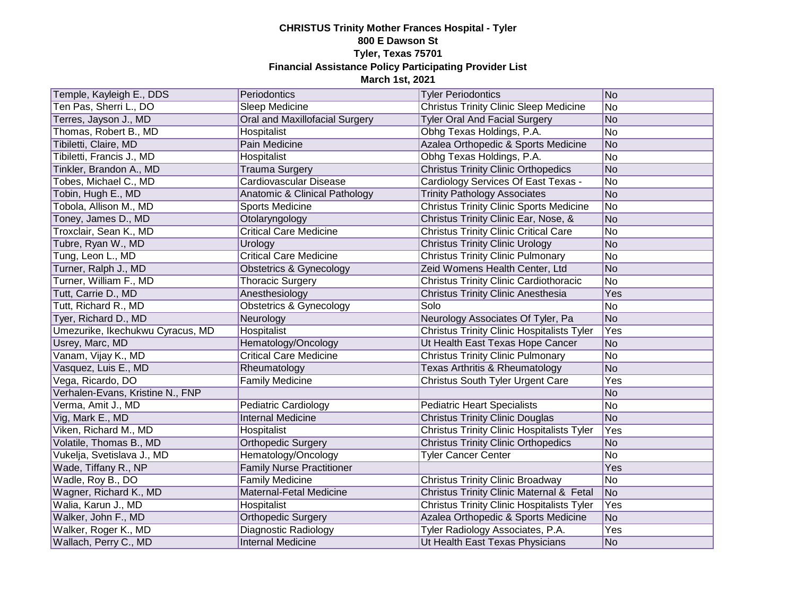| Temple, Kayleigh E., DDS         | Periodontics                       | <b>Tyler Periodontics</b>                           | No             |
|----------------------------------|------------------------------------|-----------------------------------------------------|----------------|
| Ten Pas, Sherri L., DO           | Sleep Medicine                     | <b>Christus Trinity Clinic Sleep Medicine</b>       | No             |
| Terres, Jayson J., MD            | Oral and Maxillofacial Surgery     | <b>Tyler Oral And Facial Surgery</b>                | No             |
| Thomas, Robert B., MD            | Hospitalist                        | Obhg Texas Holdings, P.A.                           | No             |
| Tibiletti, Claire, MD            | Pain Medicine                      | Azalea Orthopedic & Sports Medicine                 | No             |
| Tibiletti, Francis J., MD        | Hospitalist                        | Obhg Texas Holdings, P.A.                           | No             |
| Tinkler, Brandon A., MD          | <b>Trauma Surgery</b>              | <b>Christus Trinity Clinic Orthopedics</b>          | No             |
| Tobes, Michael C., MD            | Cardiovascular Disease             | Cardiology Services Of East Texas -                 | No             |
| Tobin, Hugh E., MD               | Anatomic & Clinical Pathology      | <b>Trinity Pathology Associates</b>                 | No             |
| Tobola, Allison M., MD           | <b>Sports Medicine</b>             | <b>Christus Trinity Clinic Sports Medicine</b>      | No             |
| Toney, James D., MD              | Otolaryngology                     | Christus Trinity Clinic Ear, Nose, &                | No             |
| Troxclair, Sean K., MD           | <b>Critical Care Medicine</b>      | <b>Christus Trinity Clinic Critical Care</b>        | No             |
| Tubre, Ryan W., MD               | Urology                            | <b>Christus Trinity Clinic Urology</b>              | No             |
| Tung, Leon L., MD                | <b>Critical Care Medicine</b>      | <b>Christus Trinity Clinic Pulmonary</b>            | No             |
| Turner, Ralph J., MD             | Obstetrics & Gynecology            | Zeid Womens Health Center, Ltd                      | No             |
| Turner, William F., MD           | <b>Thoracic Surgery</b>            | <b>Christus Trinity Clinic Cardiothoracic</b>       | No             |
| Tutt, Carrie D., MD              | Anesthesiology                     | Christus Trinity Clinic Anesthesia                  | Yes            |
| Tutt, Richard R., MD             | <b>Obstetrics &amp; Gynecology</b> | Solo                                                | No             |
| Tyer, Richard D., MD             | Neurology                          | Neurology Associates Of Tyler, Pa                   | No             |
| Umezurike, Ikechukwu Cyracus, MD | Hospitalist                        | <b>Christus Trinity Clinic Hospitalists Tyler</b>   | Yes            |
| Usrey, Marc, MD                  | Hematology/Oncology                | Ut Health East Texas Hope Cancer                    | N <sub>o</sub> |
| Vanam, Vijay K., MD              | <b>Critical Care Medicine</b>      | <b>Christus Trinity Clinic Pulmonary</b>            | No             |
| Vasquez, Luis E., MD             | Rheumatology                       | Texas Arthritis & Rheumatology                      | No             |
| Vega, Ricardo, DO                | <b>Family Medicine</b>             | <b>Christus South Tyler Urgent Care</b>             | Yes            |
| Verhalen-Evans, Kristine N., FNP |                                    |                                                     | No             |
| Verma, Amit J., MD               | <b>Pediatric Cardiology</b>        | <b>Pediatric Heart Specialists</b>                  | No             |
| Vig, Mark E., MD                 | <b>Internal Medicine</b>           | <b>Christus Trinity Clinic Douglas</b>              | No             |
| Viken, Richard M., MD            | Hospitalist                        | <b>Christus Trinity Clinic Hospitalists Tyler</b>   | Yes            |
| Volatile, Thomas B., MD          | <b>Orthopedic Surgery</b>          | <b>Christus Trinity Clinic Orthopedics</b>          | No             |
| Vukelja, Svetislava J., MD       | Hematology/Oncology                | <b>Tyler Cancer Center</b>                          | No             |
| Wade, Tiffany R., NP             | <b>Family Nurse Practitioner</b>   |                                                     | Yes            |
| Wadle, Roy B., DO                | <b>Family Medicine</b>             | <b>Christus Trinity Clinic Broadway</b>             | No             |
| Wagner, Richard K., MD           | Maternal-Fetal Medicine            | <b>Christus Trinity Clinic Maternal &amp; Fetal</b> | No             |
| Walia, Karun J., MD              | Hospitalist                        | <b>Christus Trinity Clinic Hospitalists Tyler</b>   | Yes            |
| Walker, John F., MD              | <b>Orthopedic Surgery</b>          | Azalea Orthopedic & Sports Medicine                 | N <sub>o</sub> |
| Walker, Roger K., MD             | Diagnostic Radiology               | Tyler Radiology Associates, P.A.                    | Yes            |
| Wallach, Perry C., MD            | <b>Internal Medicine</b>           | Ut Health East Texas Physicians                     | No             |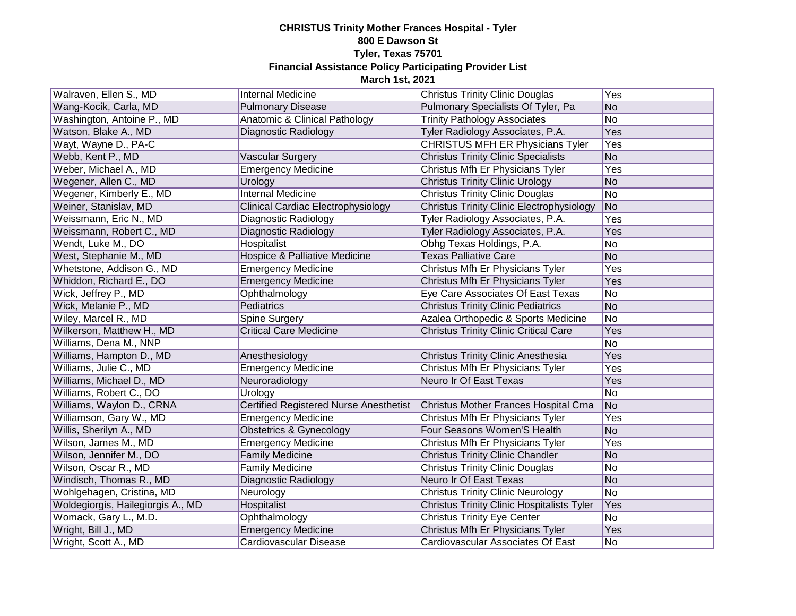| Walraven, Ellen S., MD            | <b>Internal Medicine</b>               | <b>Christus Trinity Clinic Douglas</b>            | Yes        |
|-----------------------------------|----------------------------------------|---------------------------------------------------|------------|
| Wang-Kocik, Carla, MD             | <b>Pulmonary Disease</b>               | Pulmonary Specialists Of Tyler, Pa                | No         |
| Washington, Antoine P., MD        | Anatomic & Clinical Pathology          | <b>Trinity Pathology Associates</b>               | No         |
| Watson, Blake A., MD              | Diagnostic Radiology                   | Tyler Radiology Associates, P.A.                  | <b>Yes</b> |
| Wayt, Wayne D., PA-C              |                                        | <b>CHRISTUS MFH ER Physicians Tyler</b>           | Yes        |
| Webb, Kent P., MD                 | Vascular Surgery                       | <b>Christus Trinity Clinic Specialists</b>        | No         |
| Weber, Michael A., MD             | <b>Emergency Medicine</b>              | Christus Mfh Er Physicians Tyler                  | Yes        |
| Wegener, Allen C., MD             | Urology                                | <b>Christus Trinity Clinic Urology</b>            | No         |
| Wegener, Kimberly E., MD          | <b>Internal Medicine</b>               | <b>Christus Trinity Clinic Douglas</b>            | No         |
| Weiner, Stanislav, MD             | Clinical Cardiac Electrophysiology     | <b>Christus Trinity Clinic Electrophysiology</b>  | No         |
| Weissmann, Eric N., MD            | Diagnostic Radiology                   | Tyler Radiology Associates, P.A.                  | Yes        |
| Weissmann, Robert C., MD          | Diagnostic Radiology                   | Tyler Radiology Associates, P.A.                  | Yes        |
| Wendt, Luke M., DO                | Hospitalist                            | Obhg Texas Holdings, P.A.                         | No         |
| West, Stephanie M., MD            | Hospice & Palliative Medicine          | <b>Texas Palliative Care</b>                      | No         |
| Whetstone, Addison G., MD         | <b>Emergency Medicine</b>              | Christus Mfh Er Physicians Tyler                  | Yes        |
| Whiddon, Richard E., DO           | <b>Emergency Medicine</b>              | Christus Mfh Er Physicians Tyler                  | Yes        |
| Wick, Jeffrey P., MD              | Ophthalmology                          | Eye Care Associates Of East Texas                 | No         |
| Wick, Melanie P., MD              | Pediatrics                             | <b>Christus Trinity Clinic Pediatrics</b>         | No         |
| Wiley, Marcel R., MD              | Spine Surgery                          | Azalea Orthopedic & Sports Medicine               | No         |
| Wilkerson, Matthew H., MD         | <b>Critical Care Medicine</b>          | <b>Christus Trinity Clinic Critical Care</b>      | Yes        |
| Williams, Dena M., NNP            |                                        |                                                   | No         |
| Williams, Hampton D., MD          | Anesthesiology                         | <b>Christus Trinity Clinic Anesthesia</b>         | Yes        |
| Williams, Julie C., MD            | <b>Emergency Medicine</b>              | Christus Mfh Er Physicians Tyler                  | Yes        |
| Williams, Michael D., MD          | Neuroradiology                         | Neuro Ir Of East Texas                            | Yes        |
| Williams, Robert C., DO           | Urology                                |                                                   | No         |
| Williams, Waylon D., CRNA         | Certified Registered Nurse Anesthetist | Christus Mother Frances Hospital Crna             | No         |
| Williamson, Gary W., MD           | <b>Emergency Medicine</b>              | Christus Mfh Er Physicians Tyler                  | Yes        |
| Willis, Sherilyn A., MD           | Obstetrics & Gynecology                | Four Seasons Women'S Health                       | No         |
| Wilson, James M., MD              | <b>Emergency Medicine</b>              | Christus Mfh Er Physicians Tyler                  | Yes        |
| Wilson, Jennifer M., DO           | <b>Family Medicine</b>                 | <b>Christus Trinity Clinic Chandler</b>           | No         |
| Wilson, Oscar R., MD              | <b>Family Medicine</b>                 | <b>Christus Trinity Clinic Douglas</b>            | No         |
| Windisch, Thomas R., MD           | Diagnostic Radiology                   | Neuro Ir Of East Texas                            | No         |
| Wohlgehagen, Cristina, MD         | Neurology                              | <b>Christus Trinity Clinic Neurology</b>          | No         |
| Woldegiorgis, Hailegiorgis A., MD | Hospitalist                            | <b>Christus Trinity Clinic Hospitalists Tyler</b> | Yes        |
| Womack, Gary L., M.D.             | Ophthalmology                          | <b>Christus Trinity Eye Center</b>                | No         |
| Wright, Bill J., MD               | <b>Emergency Medicine</b>              | Christus Mfh Er Physicians Tyler                  | Yes        |
| Wright, Scott A., MD              | Cardiovascular Disease                 | Cardiovascular Associates Of East                 | No.        |